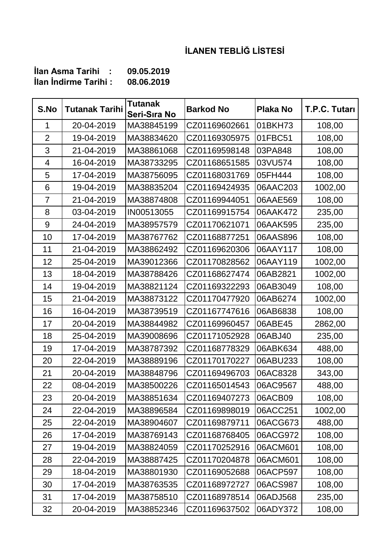## **İLANEN TEBLİĞ LİSTESİ**

| Ilan Asma Tarihi            | 09.05.2019 |
|-----------------------------|------------|
| <b>ilan Indirme Tarihi:</b> | 08.06.2019 |

| S.No           | <b>Tutanak Tarihi</b> | <b>Tutanak</b><br>Seri-Sıra No | <b>Barkod No</b> | <b>Plaka No</b> | T.P.C. Tutarı |
|----------------|-----------------------|--------------------------------|------------------|-----------------|---------------|
| $\mathbf 1$    | 20-04-2019            | MA38845199                     | CZ01169602661    | 01BKH73         | 108,00        |
| $\overline{2}$ | 19-04-2019            | MA38834620                     | CZ01169305975    | 01FBC51         | 108,00        |
| 3              | 21-04-2019            | MA38861068                     | CZ01169598148    | 03PA848         | 108,00        |
| 4              | 16-04-2019            | MA38733295                     | CZ01168651585    | 03VU574         | 108,00        |
| 5              | 17-04-2019            | MA38756095                     | CZ01168031769    | 05FH444         | 108,00        |
| 6              | 19-04-2019            | MA38835204                     | CZ01169424935    | 06AAC203        | 1002,00       |
| $\overline{7}$ | 21-04-2019            | MA38874808                     | CZ01169944051    | 06AAE569        | 108,00        |
| 8              | 03-04-2019            | IN00513055                     | CZ01169915754    | 06AAK472        | 235,00        |
| 9              | 24-04-2019            | MA38957579                     | CZ01170621071    | 06AAK595        | 235,00        |
| 10             | 17-04-2019            | MA38767762                     | CZ01168877251    | 06AAS896        | 108,00        |
| 11             | 21-04-2019            | MA38862492                     | CZ01169620306    | 06AAY117        | 108,00        |
| 12             | 25-04-2019            | MA39012366                     | CZ01170828562    | 06AAY119        | 1002,00       |
| 13             | 18-04-2019            | MA38788426                     | CZ01168627474    | 06AB2821        | 1002,00       |
| 14             | 19-04-2019            | MA38821124                     | CZ01169322293    | 06AB3049        | 108,00        |
| 15             | 21-04-2019            | MA38873122                     | CZ01170477920    | 06AB6274        | 1002,00       |
| 16             | 16-04-2019            | MA38739519                     | CZ01167747616    | 06AB6838        | 108,00        |
| 17             | 20-04-2019            | MA38844982                     | CZ01169960457    | 06ABE45         | 2862,00       |
| 18             | 25-04-2019            | MA39008696                     | CZ01171052928    | 06ABJ40         | 235,00        |
| 19             | 17-04-2019            | MA38787392                     | CZ01168778329    | 06ABK634        | 488,00        |
| 20             | 22-04-2019            | MA38889196                     | CZ01170170227    | 06ABU233        | 108,00        |
| 21             | 20-04-2019            | MA38848796                     | CZ01169496703    | 06AC8328        | 343,00        |
| 22             | 08-04-2019            | MA38500226                     | CZ01165014543    | 06AC9567        | 488,00        |
| 23             | 20-04-2019            | MA38851634                     | CZ01169407273    | 06ACB09         | 108,00        |
| 24             | 22-04-2019            | MA38896584                     | CZ01169898019    | 06ACC251        | 1002,00       |
| 25             | 22-04-2019            | MA38904607                     | CZ01169879711    | 06ACG673        | 488,00        |
| 26             | 17-04-2019            | MA38769143                     | CZ01168768405    | 06ACG972        | 108,00        |
| 27             | 19-04-2019            | MA38824059                     | CZ01170252916    | 06ACM601        | 108,00        |
| 28             | 22-04-2019            | MA38887425                     | CZ01170204878    | 06ACM601        | 108,00        |
| 29             | 18-04-2019            | MA38801930                     | CZ01169052688    | 06ACP597        | 108,00        |
| 30             | 17-04-2019            | MA38763535                     | CZ01168972727    | 06ACS987        | 108,00        |
| 31             | 17-04-2019            | MA38758510                     | CZ01168978514    | 06ADJ568        | 235,00        |
| 32             | 20-04-2019            | MA38852346                     | CZ01169637502    | 06ADY372        | 108,00        |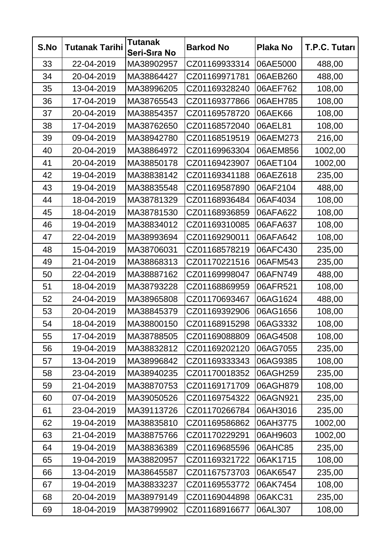| S.No | <b>Tutanak Tarihi</b> | <b>Tutanak</b><br>Seri-Sıra No | <b>Barkod No</b> | <b>Plaka No</b> | T.P.C. Tutarı |
|------|-----------------------|--------------------------------|------------------|-----------------|---------------|
| 33   | 22-04-2019            | MA38902957                     | CZ01169933314    | 06AE5000        | 488,00        |
| 34   | 20-04-2019            | MA38864427                     | CZ01169971781    | 06AEB260        | 488,00        |
| 35   | 13-04-2019            | MA38996205                     | CZ01169328240    | 06AEF762        | 108,00        |
| 36   | 17-04-2019            | MA38765543                     | CZ01169377866    | 06AEH785        | 108,00        |
| 37   | 20-04-2019            | MA38854357                     | CZ01169578720    | 06AEK66         | 108,00        |
| 38   | 17-04-2019            | MA38762650                     | CZ01168572040    | 06AEL81         | 108,00        |
| 39   | 09-04-2019            | MA38942780                     | CZ01168519519    | 06AEM273        | 216,00        |
| 40   | 20-04-2019            | MA38864972                     | CZ01169963304    | 06AEM856        | 1002,00       |
| 41   | 20-04-2019            | MA38850178                     | CZ01169423907    | 06AET104        | 1002,00       |
| 42   | 19-04-2019            | MA38838142                     | CZ01169341188    | 06AEZ618        | 235,00        |
| 43   | 19-04-2019            | MA38835548                     | CZ01169587890    | 06AF2104        | 488,00        |
| 44   | 18-04-2019            | MA38781329                     | CZ01168936484    | 06AF4034        | 108,00        |
| 45   | 18-04-2019            | MA38781530                     | CZ01168936859    | 06AFA622        | 108,00        |
| 46   | 19-04-2019            | MA38834012                     | CZ01169310085    | 06AFA637        | 108,00        |
| 47   | 22-04-2019            | MA38993694                     | CZ01169290011    | 06AFA642        | 108,00        |
| 48   | 15-04-2019            | MA38706031                     | CZ01168578219    | 06AFC430        | 235,00        |
| 49   | 21-04-2019            | MA38868313                     | CZ01170221516    | 06AFM543        | 235,00        |
| 50   | 22-04-2019            | MA38887162                     | CZ01169998047    | 06AFN749        | 488,00        |
| 51   | 18-04-2019            | MA38793228                     | CZ01168869959    | 06AFR521        | 108,00        |
| 52   | 24-04-2019            | MA38965808                     | CZ01170693467    | 06AG1624        | 488,00        |
| 53   | 20-04-2019            | MA38845379                     | CZ01169392906    | 06AG1656        | 108,00        |
| 54   | 18-04-2019            | MA38800150                     | CZ01168915298    | 06AG3332        | 108,00        |
| 55   | 17-04-2019            | MA38788505                     | CZ01169088809    | 06AG4508        | 108,00        |
| 56   | 19-04-2019            | MA38832812                     | CZ01169202120    | 06AG7055        | 235,00        |
| 57   | 13-04-2019            | MA38996842                     | CZ01169333343    | 06AG9385        | 108,00        |
| 58   | 23-04-2019            | MA38940235                     | CZ01170018352    | 06AGH259        | 235,00        |
| 59   | 21-04-2019            | MA38870753                     | CZ01169171709    | 06AGH879        | 108,00        |
| 60   | 07-04-2019            | MA39050526                     | CZ01169754322    | 06AGN921        | 235,00        |
| 61   | 23-04-2019            | MA39113726                     | CZ01170266784    | 06AH3016        | 235,00        |
| 62   | 19-04-2019            | MA38835810                     | CZ01169586862    | 06AH3775        | 1002,00       |
| 63   | 21-04-2019            | MA38875766                     | CZ01170229291    | 06AH9603        | 1002,00       |
| 64   | 19-04-2019            | MA38836389                     | CZ01169685596    | 06AHC85         | 235,00        |
| 65   | 19-04-2019            | MA38820957                     | CZ01169321722    | 06AK1715        | 108,00        |
| 66   | 13-04-2019            | MA38645587                     | CZ01167573703    | 06AK6547        | 235,00        |
| 67   | 19-04-2019            | MA38833237                     | CZ01169553772    | 06AK7454        | 108,00        |
| 68   | 20-04-2019            | MA38979149                     | CZ01169044898    | 06AKC31         | 235,00        |
| 69   | 18-04-2019            | MA38799902                     | CZ01168916677    | 06AL307         | 108,00        |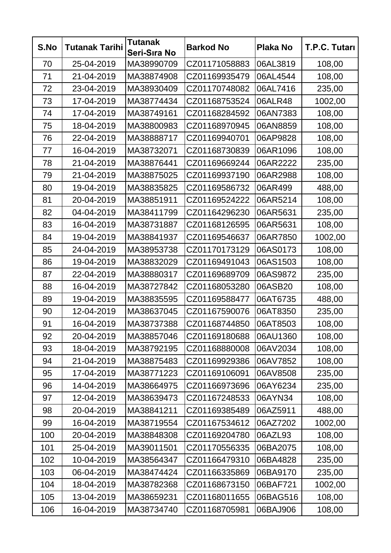| S.No | <b>Tutanak Tarihi</b> | <b>Tutanak</b><br>Seri-Sıra No | <b>Barkod No</b> | <b>Plaka No</b> | T.P.C. Tutarı |
|------|-----------------------|--------------------------------|------------------|-----------------|---------------|
| 70   | 25-04-2019            | MA38990709                     | CZ01171058883    | 06AL3819        | 108,00        |
| 71   | 21-04-2019            | MA38874908                     | CZ01169935479    | 06AL4544        | 108,00        |
| 72   | 23-04-2019            | MA38930409                     | CZ01170748082    | 06AL7416        | 235,00        |
| 73   | 17-04-2019            | MA38774434                     | CZ01168753524    | 06ALR48         | 1002,00       |
| 74   | 17-04-2019            | MA38749161                     | CZ01168284592    | 06AN7383        | 108,00        |
| 75   | 18-04-2019            | MA38800983                     | CZ01168970945    | 06AN8859        | 108,00        |
| 76   | 22-04-2019            | MA38888717                     | CZ01169940701    | 06AP9828        | 108,00        |
| 77   | 16-04-2019            | MA38732071                     | CZ01168730839    | 06AR1096        | 108,00        |
| 78   | 21-04-2019            | MA38876441                     | CZ01169669244    | 06AR2222        | 235,00        |
| 79   | 21-04-2019            | MA38875025                     | CZ01169937190    | 06AR2988        | 108,00        |
| 80   | 19-04-2019            | MA38835825                     | CZ01169586732    | 06AR499         | 488,00        |
| 81   | 20-04-2019            | MA38851911                     | CZ01169524222    | 06AR5214        | 108,00        |
| 82   | 04-04-2019            | MA38411799                     | CZ01164296230    | 06AR5631        | 235,00        |
| 83   | 16-04-2019            | MA38731887                     | CZ01168126595    | 06AR5631        | 108,00        |
| 84   | 19-04-2019            | MA38841937                     | CZ01169546637    | 06AR7850        | 1002,00       |
| 85   | 24-04-2019            | MA38953738                     | CZ01170173129    | 06AS0173        | 108,00        |
| 86   | 19-04-2019            | MA38832029                     | CZ01169491043    | 06AS1503        | 108,00        |
| 87   | 22-04-2019            | MA38880317                     | CZ01169689709    | 06AS9872        | 235,00        |
| 88   | 16-04-2019            | MA38727842                     | CZ01168053280    | 06ASB20         | 108,00        |
| 89   | 19-04-2019            | MA38835595                     | CZ01169588477    | 06AT6735        | 488,00        |
| 90   | 12-04-2019            | MA38637045                     | CZ01167590076    | 06AT8350        | 235,00        |
| 91   | 16-04-2019            | MA38737388                     | CZ01168744850    | 06AT8503        | 108,00        |
| 92   | 20-04-2019            | MA38857046                     | CZ01169180688    | 06AU1360        | 108,00        |
| 93   | 18-04-2019            | MA38792195                     | CZ01168880008    | 06AV2034        | 108,00        |
| 94   | 21-04-2019            | MA38875483                     | CZ01169929386    | 06AV7852        | 108,00        |
| 95   | 17-04-2019            | MA38771223                     | CZ01169106091    | 06AV8508        | 235,00        |
| 96   | 14-04-2019            | MA38664975                     | CZ01166973696    | 06AY6234        | 235,00        |
| 97   | 12-04-2019            | MA38639473                     | CZ01167248533    | 06AYN34         | 108,00        |
| 98   | 20-04-2019            | MA38841211                     | CZ01169385489    | 06AZ5911        | 488,00        |
| 99   | 16-04-2019            | MA38719554                     | CZ01167534612    | 06AZ7202        | 1002,00       |
| 100  | 20-04-2019            | MA38848308                     | CZ01169204780    | 06AZL93         | 108,00        |
| 101  | 25-04-2019            | MA39011501                     | CZ01170556335    | 06BA2075        | 108,00        |
| 102  | 10-04-2019            | MA38564347                     | CZ01166479310    | 06BA4828        | 235,00        |
| 103  | 06-04-2019            | MA38474424                     | CZ01166335869    | 06BA9170        | 235,00        |
| 104  | 18-04-2019            | MA38782368                     | CZ01168673150    | 06BAF721        | 1002,00       |
| 105  | 13-04-2019            | MA38659231                     | CZ01168011655    | 06BAG516        | 108,00        |
| 106  | 16-04-2019            | MA38734740                     | CZ01168705981    | 06BAJ906        | 108,00        |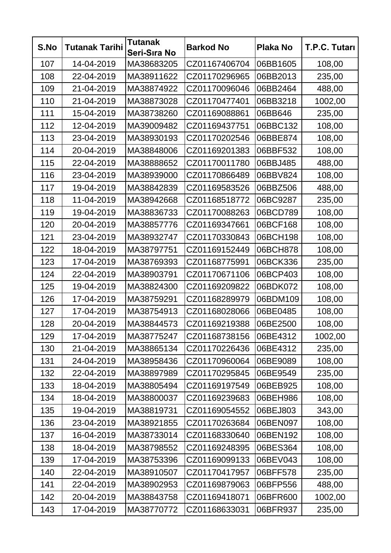| S.No | <b>Tutanak Tarihi</b> | <b>Tutanak</b><br>Seri-Sıra No | <b>Barkod No</b> | <b>Plaka No</b> | T.P.C. Tutarı |
|------|-----------------------|--------------------------------|------------------|-----------------|---------------|
| 107  | 14-04-2019            | MA38683205                     | CZ01167406704    | 06BB1605        | 108,00        |
| 108  | 22-04-2019            | MA38911622                     | CZ01170296965    | 06BB2013        | 235,00        |
| 109  | 21-04-2019            | MA38874922                     | CZ01170096046    | 06BB2464        | 488,00        |
| 110  | 21-04-2019            | MA38873028                     | CZ01170477401    | 06BB3218        | 1002,00       |
| 111  | 15-04-2019            | MA38738260                     | CZ01169088861    | 06BB646         | 235,00        |
| 112  | 12-04-2019            | MA39009482                     | CZ01169437751    | 06BBC132        | 108,00        |
| 113  | 23-04-2019            | MA38930193                     | CZ01170202546    | 06BBE874        | 108,00        |
| 114  | 20-04-2019            | MA38848006                     | CZ01169201383    | 06BBF532        | 108,00        |
| 115  | 22-04-2019            | MA38888652                     | CZ01170011780    | 06BBJ485        | 488,00        |
| 116  | 23-04-2019            | MA38939000                     | CZ01170866489    | 06BBV824        | 108,00        |
| 117  | 19-04-2019            | MA38842839                     | CZ01169583526    | 06BBZ506        | 488,00        |
| 118  | 11-04-2019            | MA38942668                     | CZ01168518772    | 06BC9287        | 235,00        |
| 119  | 19-04-2019            | MA38836733                     | CZ01170088263    | 06BCD789        | 108,00        |
| 120  | 20-04-2019            | MA38857776                     | CZ01169347661    | 06BCF168        | 108,00        |
| 121  | 23-04-2019            | MA38932747                     | CZ01170330843    | 06BCH198        | 108,00        |
| 122  | 18-04-2019            | MA38797751                     | CZ01169152449    | 06BCH878        | 108,00        |
| 123  | 17-04-2019            | MA38769393                     | CZ01168775991    | 06BCK336        | 235,00        |
| 124  | 22-04-2019            | MA38903791                     | CZ01170671106    | 06BCP403        | 108,00        |
| 125  | 19-04-2019            | MA38824300                     | CZ01169209822    | 06BDK072        | 108,00        |
| 126  | 17-04-2019            | MA38759291                     | CZ01168289979    | 06BDM109        | 108,00        |
| 127  | 17-04-2019            | MA38754913                     | CZ01168028066    | 06BE0485        | 108,00        |
| 128  | 20-04-2019            | MA38844573                     | CZ01169219388    | 06BE2500        | 108,00        |
| 129  | 17-04-2019            | MA38775247                     | CZ01168738156    | 06BE4312        | 1002,00       |
| 130  | 21-04-2019            | MA38865134                     | CZ01170226436    | 06BE4312        | 235,00        |
| 131  | 24-04-2019            | MA38958436                     | CZ01170960064    | 06BE9089        | 108,00        |
| 132  | 22-04-2019            | MA38897989                     | CZ01170295845    | 06BE9549        | 235,00        |
| 133  | 18-04-2019            | MA38805494                     | CZ01169197549    | 06BEB925        | 108,00        |
| 134  | 18-04-2019            | MA38800037                     | CZ01169239683    | 06BEH986        | 108,00        |
| 135  | 19-04-2019            | MA38819731                     | CZ01169054552    | 06BEJ803        | 343,00        |
| 136  | 23-04-2019            | MA38921855                     | CZ01170263684    | 06BEN097        | 108,00        |
| 137  | 16-04-2019            | MA38733014                     | CZ01168330640    | 06BEN192        | 108,00        |
| 138  | 18-04-2019            | MA38798552                     | CZ01169248395    | 06BES364        | 108,00        |
| 139  | 17-04-2019            | MA38753396                     | CZ01169099133    | 06BEV043        | 108,00        |
| 140  | 22-04-2019            | MA38910507                     | CZ01170417957    | 06BFF578        | 235,00        |
| 141  | 22-04-2019            | MA38902953                     | CZ01169879063    | 06BFP556        | 488,00        |
| 142  | 20-04-2019            | MA38843758                     | CZ01169418071    | 06BFR600        | 1002,00       |
| 143  | 17-04-2019            | MA38770772                     | CZ01168633031    | 06BFR937        | 235,00        |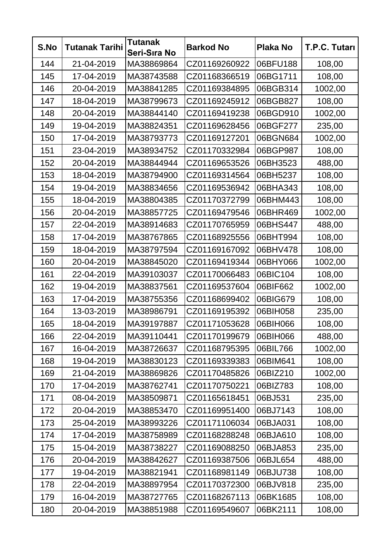| S.No | <b>Tutanak Tarihi</b> | <b>Tutanak</b><br>Seri-Sıra No | <b>Barkod No</b> | <b>Plaka No</b> | T.P.C. Tutarı |
|------|-----------------------|--------------------------------|------------------|-----------------|---------------|
| 144  | 21-04-2019            | MA38869864                     | CZ01169260922    | 06BFU188        | 108,00        |
| 145  | 17-04-2019            | MA38743588                     | CZ01168366519    | 06BG1711        | 108,00        |
| 146  | 20-04-2019            | MA38841285                     | CZ01169384895    | 06BGB314        | 1002,00       |
| 147  | 18-04-2019            | MA38799673                     | CZ01169245912    | 06BGB827        | 108,00        |
| 148  | 20-04-2019            | MA38844140                     | CZ01169419238    | 06BGD910        | 1002,00       |
| 149  | 19-04-2019            | MA38824351                     | CZ01169628456    | 06BGF277        | 235,00        |
| 150  | 17-04-2019            | MA38793773                     | CZ01169127201    | 06BGN684        | 1002,00       |
| 151  | 23-04-2019            | MA38934752                     | CZ01170332984    | 06BGP987        | 108,00        |
| 152  | 20-04-2019            | MA38844944                     | CZ01169653526    | 06BH3523        | 488,00        |
| 153  | 18-04-2019            | MA38794900                     | CZ01169314564    | 06BH5237        | 108,00        |
| 154  | 19-04-2019            | MA38834656                     | CZ01169536942    | 06BHA343        | 108,00        |
| 155  | 18-04-2019            | MA38804385                     | CZ01170372799    | 06BHM443        | 108,00        |
| 156  | 20-04-2019            | MA38857725                     | CZ01169479546    | 06BHR469        | 1002,00       |
| 157  | 22-04-2019            | MA38914683                     | CZ01170765959    | 06BHS447        | 488,00        |
| 158  | 17-04-2019            | MA38767865                     | CZ01168925556    | 06BHT994        | 108,00        |
| 159  | 18-04-2019            | MA38797594                     | CZ01169167092    | 06BHV478        | 108,00        |
| 160  | 20-04-2019            | MA38845020                     | CZ01169419344    | 06BHY066        | 1002,00       |
| 161  | 22-04-2019            | MA39103037                     | CZ01170066483    | 06BIC104        | 108,00        |
| 162  | 19-04-2019            | MA38837561                     | CZ01169537604    | 06BIF662        | 1002,00       |
| 163  | 17-04-2019            | MA38755356                     | CZ01168699402    | 06BIG679        | 108,00        |
| 164  | 13-03-2019            | MA38986791                     | CZ01169195392    | 06BIH058        | 235,00        |
| 165  | 18-04-2019            | MA39197887                     | CZ01171053628    | 06BIH066        | 108,00        |
| 166  | 22-04-2019            | MA39110441                     | CZ01170199679    | 06BIH066        | 488,00        |
| 167  | 16-04-2019            | MA38726637                     | CZ01168795395    | 06BIL766        | 1002,00       |
| 168  | 19-04-2019            | MA38830123                     | CZ01169339383    | 06BIM641        | 108,00        |
| 169  | 21-04-2019            | MA38869826                     | CZ01170485826    | 06BIZ210        | 1002,00       |
| 170  | 17-04-2019            | MA38762741                     | CZ01170750221    | 06BIZ783        | 108,00        |
| 171  | 08-04-2019            | MA38509871                     | CZ01165618451    | 06BJ531         | 235,00        |
| 172  | 20-04-2019            | MA38853470                     | CZ01169951400    | 06BJ7143        | 108,00        |
| 173  | 25-04-2019            | MA38993226                     | CZ01171106034    | 06BJA031        | 108,00        |
| 174  | 17-04-2019            | MA38758989                     | CZ01168288248    | 06BJA610        | 108,00        |
| 175  | 15-04-2019            | MA38738227                     | CZ01169088250    | 06BJA853        | 235,00        |
| 176  | 20-04-2019            | MA38842627                     | CZ01169387506    | 06BJL654        | 488,00        |
| 177  | 19-04-2019            | MA38821941                     | CZ01168981149    | 06BJU738        | 108,00        |
| 178  | 22-04-2019            | MA38897954                     | CZ01170372300    | 06BJV818        | 235,00        |
| 179  | 16-04-2019            | MA38727765                     | CZ01168267113    | 06BK1685        | 108,00        |
| 180  | 20-04-2019            | MA38851988                     | CZ01169549607    | 06BK2111        | 108,00        |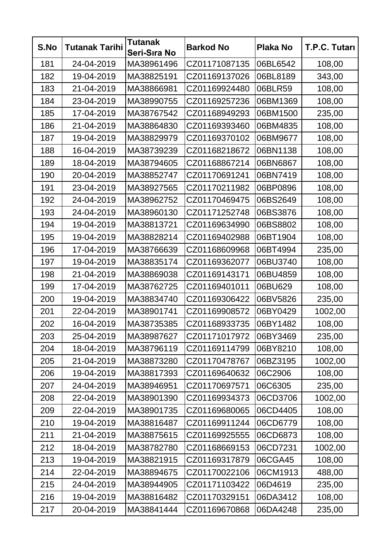| S.No | <b>Tutanak Tarihi</b> | <b>Tutanak</b><br>Seri-Sıra No | <b>Barkod No</b> | <b>Plaka No</b> | T.P.C. Tutarı |
|------|-----------------------|--------------------------------|------------------|-----------------|---------------|
| 181  | 24-04-2019            | MA38961496                     | CZ01171087135    | 06BL6542        | 108,00        |
| 182  | 19-04-2019            | MA38825191                     | CZ01169137026    | 06BL8189        | 343,00        |
| 183  | 21-04-2019            | MA38866981                     | CZ01169924480    | 06BLR59         | 108,00        |
| 184  | 23-04-2019            | MA38990755                     | CZ01169257236    | 06BM1369        | 108,00        |
| 185  | 17-04-2019            | MA38767542                     | CZ01168949293    | 06BM1500        | 235,00        |
| 186  | 21-04-2019            | MA38864830                     | CZ01169393460    | 06BM4835        | 108,00        |
| 187  | 19-04-2019            | MA38829979                     | CZ01169370102    | 06BM9677        | 108,00        |
| 188  | 16-04-2019            | MA38739239                     | CZ01168218672    | 06BN1138        | 108,00        |
| 189  | 18-04-2019            | MA38794605                     | CZ01168867214    | 06BN6867        | 108,00        |
| 190  | 20-04-2019            | MA38852747                     | CZ01170691241    | 06BN7419        | 108,00        |
| 191  | 23-04-2019            | MA38927565                     | CZ01170211982    | 06BP0896        | 108,00        |
| 192  | 24-04-2019            | MA38962752                     | CZ01170469475    | 06BS2649        | 108,00        |
| 193  | 24-04-2019            | MA38960130                     | CZ01171252748    | 06BS3876        | 108,00        |
| 194  | 19-04-2019            | MA38813721                     | CZ01169634990    | 06BS8802        | 108,00        |
| 195  | 19-04-2019            | MA38828214                     | CZ01169402988    | 06BT1904        | 108,00        |
| 196  | 17-04-2019            | MA38766639                     | CZ01168609968    | 06BT4994        | 235,00        |
| 197  | 19-04-2019            | MA38835174                     | CZ01169362077    | 06BU3740        | 108,00        |
| 198  | 21-04-2019            | MA38869038                     | CZ01169143171    | 06BU4859        | 108,00        |
| 199  | 17-04-2019            | MA38762725                     | CZ01169401011    | 06BU629         | 108,00        |
| 200  | 19-04-2019            | MA38834740                     | CZ01169306422    | 06BV5826        | 235,00        |
| 201  | 22-04-2019            | MA38901741                     | CZ01169908572    | 06BY0429        | 1002,00       |
| 202  | 16-04-2019            | MA38735385                     | CZ01168933735    | 06BY1482        | 108,00        |
| 203  | 25-04-2019            | MA38987627                     | CZ01171017972    | 06BY3469        | 235,00        |
| 204  | 18-04-2019            | MA38796119                     | CZ01169114799    | 06BY8210        | 108,00        |
| 205  | 21-04-2019            | MA38873280                     | CZ01170478767    | 06BZ3195        | 1002,00       |
| 206  | 19-04-2019            | MA38817393                     | CZ01169640632    | 06C2906         | 108,00        |
| 207  | 24-04-2019            | MA38946951                     | CZ01170697571    | 06C6305         | 235,00        |
| 208  | 22-04-2019            | MA38901390                     | CZ01169934373    | 06CD3706        | 1002,00       |
| 209  | 22-04-2019            | MA38901735                     | CZ01169680065    | 06CD4405        | 108,00        |
| 210  | 19-04-2019            | MA38816487                     | CZ01169911244    | 06CD6779        | 108,00        |
| 211  | 21-04-2019            | MA38875615                     | CZ01169925555    | 06CD6873        | 108,00        |
| 212  | 18-04-2019            | MA38782780                     | CZ01168669153    | 06CD7231        | 1002,00       |
| 213  | 19-04-2019            | MA38821915                     | CZ01169317879    | 06CGA45         | 108,00        |
| 214  | 22-04-2019            | MA38894675                     | CZ01170022106    | 06CM1913        | 488,00        |
| 215  | 24-04-2019            | MA38944905                     | CZ01171103422    | 06D4619         | 235,00        |
| 216  | 19-04-2019            | MA38816482                     | CZ01170329151    | 06DA3412        | 108,00        |
| 217  | 20-04-2019            | MA38841444                     | CZ01169670868    | 06DA4248        | 235,00        |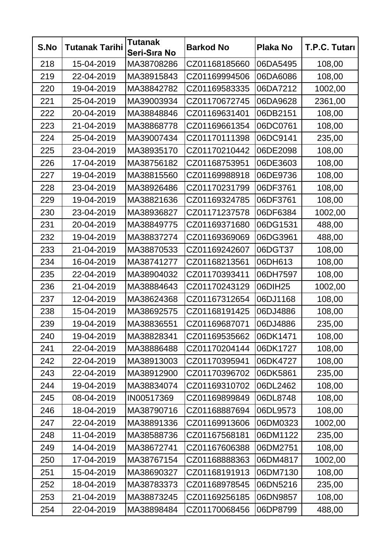| S.No | <b>Tutanak Tarihi</b> | <b>Tutanak</b><br>Seri-Sıra No | <b>Barkod No</b> | <b>Plaka No</b> | T.P.C. Tutarı |
|------|-----------------------|--------------------------------|------------------|-----------------|---------------|
| 218  | 15-04-2019            | MA38708286                     | CZ01168185660    | 06DA5495        | 108,00        |
| 219  | 22-04-2019            | MA38915843                     | CZ01169994506    | 06DA6086        | 108,00        |
| 220  | 19-04-2019            | MA38842782                     | CZ01169583335    | 06DA7212        | 1002,00       |
| 221  | 25-04-2019            | MA39003934                     | CZ01170672745    | 06DA9628        | 2361,00       |
| 222  | 20-04-2019            | MA38848846                     | CZ01169631401    | 06DB2151        | 108,00        |
| 223  | 21-04-2019            | MA38868778                     | CZ01169661354    | 06DC0761        | 108,00        |
| 224  | 25-04-2019            | MA39007434                     | CZ01170111398    | 06DC9141        | 235,00        |
| 225  | 23-04-2019            | MA38935170                     | CZ01170210442    | 06DE2098        | 108,00        |
| 226  | 17-04-2019            | MA38756182                     | CZ01168753951    | 06DE3603        | 108,00        |
| 227  | 19-04-2019            | MA38815560                     | CZ01169988918    | 06DE9736        | 108,00        |
| 228  | 23-04-2019            | MA38926486                     | CZ01170231799    | 06DF3761        | 108,00        |
| 229  | 19-04-2019            | MA38821636                     | CZ01169324785    | 06DF3761        | 108,00        |
| 230  | 23-04-2019            | MA38936827                     | CZ01171237578    | 06DF6384        | 1002,00       |
| 231  | 20-04-2019            | MA38849775                     | CZ01169371680    | 06DG1531        | 488,00        |
| 232  | 19-04-2019            | MA38837274                     | CZ01169369069    | 06DG3961        | 488,00        |
| 233  | 21-04-2019            | MA38870533                     | CZ01169242607    | 06DGT37         | 108,00        |
| 234  | 16-04-2019            | MA38741277                     | CZ01168213561    | 06DH613         | 108,00        |
| 235  | 22-04-2019            | MA38904032                     | CZ01170393411    | 06DH7597        | 108,00        |
| 236  | 21-04-2019            | MA38884643                     | CZ01170243129    | 06DIH25         | 1002,00       |
| 237  | 12-04-2019            | MA38624368                     | CZ01167312654    | 06DJ1168        | 108,00        |
| 238  | 15-04-2019            | MA38692575                     | CZ01168191425    | 06DJ4886        | 108,00        |
| 239  | 19-04-2019            | MA38836551                     | CZ01169687071    | 06DJ4886        | 235,00        |
| 240  | 19-04-2019            | MA38828341                     | CZ01169535662    | 06DK1471        | 108,00        |
| 241  | 22-04-2019            | MA38886488                     | CZ01170204144    | 06DK1727        | 108,00        |
| 242  | 22-04-2019            | MA38913003                     | CZ01170395941    | 06DK4727        | 108,00        |
| 243  | 22-04-2019            | MA38912900                     | CZ01170396702    | 06DK5861        | 235,00        |
| 244  | 19-04-2019            | MA38834074                     | CZ01169310702    | 06DL2462        | 108,00        |
| 245  | 08-04-2019            | IN00517369                     | CZ01169899849    | 06DL8748        | 108,00        |
| 246  | 18-04-2019            | MA38790716                     | CZ01168887694    | 06DL9573        | 108,00        |
| 247  | 22-04-2019            | MA38891336                     | CZ01169913606    | 06DM0323        | 1002,00       |
| 248  | 11-04-2019            | MA38588736                     | CZ01167568181    | 06DM1122        | 235,00        |
| 249  | 14-04-2019            | MA38672741                     | CZ01167606388    | 06DM2751        | 108,00        |
| 250  | 17-04-2019            | MA38767154                     | CZ01168888363    | 06DM4817        | 1002,00       |
| 251  | 15-04-2019            | MA38690327                     | CZ01168191913    | 06DM7130        | 108,00        |
| 252  | 18-04-2019            | MA38783373                     | CZ01168978545    | 06DN5216        | 235,00        |
| 253  | 21-04-2019            | MA38873245                     | CZ01169256185    | 06DN9857        | 108,00        |
| 254  | 22-04-2019            | MA38898484                     | CZ01170068456    | 06DP8799        | 488,00        |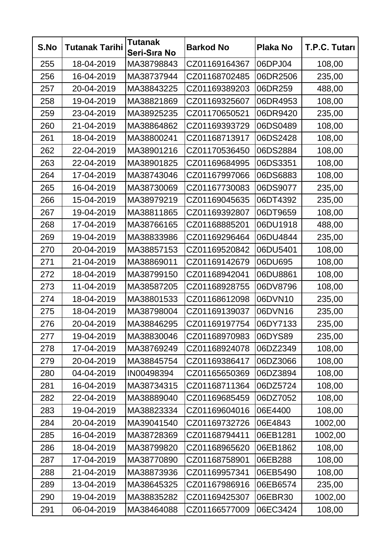| S.No | <b>Tutanak Tarihi</b> | <b>Tutanak</b><br>Seri-Sıra No | <b>Barkod No</b> | <b>Plaka No</b> | T.P.C. Tutarı |
|------|-----------------------|--------------------------------|------------------|-----------------|---------------|
| 255  | 18-04-2019            | MA38798843                     | CZ01169164367    | 06DPJ04         | 108,00        |
| 256  | 16-04-2019            | MA38737944                     | CZ01168702485    | 06DR2506        | 235,00        |
| 257  | 20-04-2019            | MA38843225                     | CZ01169389203    | 06DR259         | 488,00        |
| 258  | 19-04-2019            | MA38821869                     | CZ01169325607    | 06DR4953        | 108,00        |
| 259  | 23-04-2019            | MA38925235                     | CZ01170650521    | 06DR9420        | 235,00        |
| 260  | 21-04-2019            | MA38864862                     | CZ01169393729    | 06DS0489        | 108,00        |
| 261  | 18-04-2019            | MA38800241                     | CZ01168713917    | 06DS2428        | 108,00        |
| 262  | 22-04-2019            | MA38901216                     | CZ01170536450    | 06DS2884        | 108,00        |
| 263  | 22-04-2019            | MA38901825                     | CZ01169684995    | 06DS3351        | 108,00        |
| 264  | 17-04-2019            | MA38743046                     | CZ01167997066    | 06DS6883        | 108,00        |
| 265  | 16-04-2019            | MA38730069                     | CZ01167730083    | 06DS9077        | 235,00        |
| 266  | 15-04-2019            | MA38979219                     | CZ01169045635    | 06DT4392        | 235,00        |
| 267  | 19-04-2019            | MA38811865                     | CZ01169392807    | 06DT9659        | 108,00        |
| 268  | 17-04-2019            | MA38766165                     | CZ01168885201    | 06DU1918        | 488,00        |
| 269  | 19-04-2019            | MA38833986                     | CZ01169296464    | 06DU4844        | 235,00        |
| 270  | 20-04-2019            | MA38857153                     | CZ01169520842    | 06DU5401        | 108,00        |
| 271  | 21-04-2019            | MA38869011                     | CZ01169142679    | 06DU695         | 108,00        |
| 272  | 18-04-2019            | MA38799150                     | CZ01168942041    | 06DU8861        | 108,00        |
| 273  | 11-04-2019            | MA38587205                     | CZ01168928755    | 06DV8796        | 108,00        |
| 274  | 18-04-2019            | MA38801533                     | CZ01168612098    | 06DVN10         | 235,00        |
| 275  | 18-04-2019            | MA38798004                     | CZ01169139037    | 06DVN16         | 235,00        |
| 276  | 20-04-2019            | MA38846295                     | CZ01169197754    | 06DY7133        | 235,00        |
| 277  | 19-04-2019            | MA38830046                     | CZ01168970983    | 06DYS89         | 235,00        |
| 278  | 17-04-2019            | MA38769249                     | CZ01168924078    | 06DZ2349        | 108,00        |
| 279  | 20-04-2019            | MA38845754                     | CZ01169386417    | 06DZ3066        | 108,00        |
| 280  | 04-04-2019            | IN00498394                     | CZ01165650369    | 06DZ3894        | 108,00        |
| 281  | 16-04-2019            | MA38734315                     | CZ01168711364    | 06DZ5724        | 108,00        |
| 282  | 22-04-2019            | MA38889040                     | CZ01169685459    | 06DZ7052        | 108,00        |
| 283  | 19-04-2019            | MA38823334                     | CZ01169604016    | 06E4400         | 108,00        |
| 284  | 20-04-2019            | MA39041540                     | CZ01169732726    | 06E4843         | 1002,00       |
| 285  | 16-04-2019            | MA38728369                     | CZ01168794411    | 06EB1281        | 1002,00       |
| 286  | 18-04-2019            | MA38799820                     | CZ01168965620    | 06EB1862        | 108,00        |
| 287  | 17-04-2019            | MA38770890                     | CZ01168758901    | 06EB288         | 108,00        |
| 288  | 21-04-2019            | MA38873936                     | CZ01169957341    | 06EB5490        | 108,00        |
| 289  | 13-04-2019            | MA38645325                     | CZ01167986916    | 06EB6574        | 235,00        |
| 290  | 19-04-2019            | MA38835282                     | CZ01169425307    | 06EBR30         | 1002,00       |
| 291  | 06-04-2019            | MA38464088                     | CZ01166577009    | 06EC3424        | 108,00        |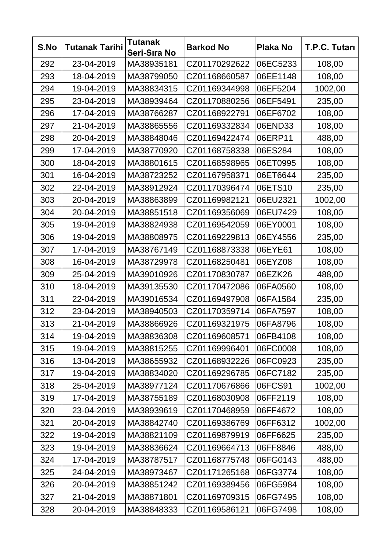| S.No | <b>Tutanak Tarihi</b> | <b>Tutanak</b><br>Seri-Sıra No | <b>Barkod No</b> | <b>Plaka No</b> | T.P.C. Tutarı |
|------|-----------------------|--------------------------------|------------------|-----------------|---------------|
| 292  | 23-04-2019            | MA38935181                     | CZ01170292622    | 06EC5233        | 108,00        |
| 293  | 18-04-2019            | MA38799050                     | CZ01168660587    | 06EE1148        | 108,00        |
| 294  | 19-04-2019            | MA38834315                     | CZ01169344998    | 06EF5204        | 1002,00       |
| 295  | 23-04-2019            | MA38939464                     | CZ01170880256    | 06EF5491        | 235,00        |
| 296  | 17-04-2019            | MA38766287                     | CZ01168922791    | 06EF6702        | 108,00        |
| 297  | 21-04-2019            | MA38865556                     | CZ01169332834    | 06END33         | 108,00        |
| 298  | 20-04-2019            | MA38848046                     | CZ01169422474    | 06ERP11         | 488,00        |
| 299  | 17-04-2019            | MA38770920                     | CZ01168758338    | 06ES284         | 108,00        |
| 300  | 18-04-2019            | MA38801615                     | CZ01168598965    | 06ET0995        | 108,00        |
| 301  | 16-04-2019            | MA38723252                     | CZ01167958371    | 06ET6644        | 235,00        |
| 302  | 22-04-2019            | MA38912924                     | CZ01170396474    | 06ETS10         | 235,00        |
| 303  | 20-04-2019            | MA38863899                     | CZ01169982121    | 06EU2321        | 1002,00       |
| 304  | 20-04-2019            | MA38851518                     | CZ01169356069    | 06EU7429        | 108,00        |
| 305  | 19-04-2019            | MA38824938                     | CZ01169542059    | 06EY0001        | 108,00        |
| 306  | 19-04-2019            | MA38808975                     | CZ01169229813    | 06EY4556        | 235,00        |
| 307  | 17-04-2019            | MA38767149                     | CZ01168873338    | 06EYE61         | 108,00        |
| 308  | 16-04-2019            | MA38729978                     | CZ01168250481    | 06EYZ08         | 108,00        |
| 309  | 25-04-2019            | MA39010926                     | CZ01170830787    | 06EZK26         | 488,00        |
| 310  | 18-04-2019            | MA39135530                     | CZ01170472086    | 06FA0560        | 108,00        |
| 311  | 22-04-2019            | MA39016534                     | CZ01169497908    | 06FA1584        | 235,00        |
| 312  | 23-04-2019            | MA38940503                     | CZ01170359714    | 06FA7597        | 108,00        |
| 313  | 21-04-2019            | MA38866926                     | CZ01169321975    | 06FA8796        | 108,00        |
| 314  | 19-04-2019            | MA38836308                     | CZ01169608571    | 06FB4108        | 108,00        |
| 315  | 19-04-2019            | MA38815255                     | CZ01169996401    | 06FC0008        | 108,00        |
| 316  | 13-04-2019            | MA38655932                     | CZ01168932226    | 06FC0923        | 235,00        |
| 317  | 19-04-2019            | MA38834020                     | CZ01169296785    | 06FC7182        | 235,00        |
| 318  | 25-04-2019            | MA38977124                     | CZ01170676866    | 06FCS91         | 1002,00       |
| 319  | 17-04-2019            | MA38755189                     | CZ01168030908    | 06FF2119        | 108,00        |
| 320  | 23-04-2019            | MA38939619                     | CZ01170468959    | 06FF4672        | 108,00        |
| 321  | 20-04-2019            | MA38842740                     | CZ01169386769    | 06FF6312        | 1002,00       |
| 322  | 19-04-2019            | MA38821109                     | CZ01169879919    | 06FF6625        | 235,00        |
| 323  | 19-04-2019            | MA38836624                     | CZ01169664713    | 06FF8846        | 488,00        |
| 324  | 17-04-2019            | MA38787517                     | CZ01168775748    | 06FG0143        | 488,00        |
| 325  | 24-04-2019            | MA38973467                     | CZ01171265168    | 06FG3774        | 108,00        |
| 326  | 20-04-2019            | MA38851242                     | CZ01169389456    | 06FG5984        | 108,00        |
| 327  | 21-04-2019            | MA38871801                     | CZ01169709315    | 06FG7495        | 108,00        |
| 328  | 20-04-2019            | MA38848333                     | CZ01169586121    | 06FG7498        | 108,00        |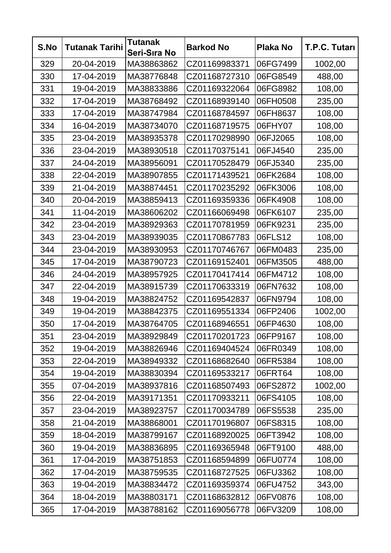| S.No | <b>Tutanak Tarihi</b> | <b>Tutanak</b><br>Seri-Sıra No | <b>Barkod No</b> | <b>Plaka No</b> | T.P.C. Tutarı |
|------|-----------------------|--------------------------------|------------------|-----------------|---------------|
| 329  | 20-04-2019            | MA38863862                     | CZ01169983371    | 06FG7499        | 1002,00       |
| 330  | 17-04-2019            | MA38776848                     | CZ01168727310    | 06FG8549        | 488,00        |
| 331  | 19-04-2019            | MA38833886                     | CZ01169322064    | 06FG8982        | 108,00        |
| 332  | 17-04-2019            | MA38768492                     | CZ01168939140    | 06FH0508        | 235,00        |
| 333  | 17-04-2019            | MA38747984                     | CZ01168784597    | 06FH8637        | 108,00        |
| 334  | 16-04-2019            | MA38734070                     | CZ01168719575    | 06FHY07         | 108,00        |
| 335  | 23-04-2019            | MA38935378                     | CZ01170298990    | 06FJ2065        | 108,00        |
| 336  | 23-04-2019            | MA38930518                     | CZ01170375141    | 06FJ4540        | 235,00        |
| 337  | 24-04-2019            | MA38956091                     | CZ01170528479    | 06FJ5340        | 235,00        |
| 338  | 22-04-2019            | MA38907855                     | CZ01171439521    | 06FK2684        | 108,00        |
| 339  | 21-04-2019            | MA38874451                     | CZ01170235292    | 06FK3006        | 108,00        |
| 340  | 20-04-2019            | MA38859413                     | CZ01169359336    | 06FK4908        | 108,00        |
| 341  | 11-04-2019            | MA38606202                     | CZ01166069498    | 06FK6107        | 235,00        |
| 342  | 23-04-2019            | MA38929363                     | CZ01170781959    | 06FK9231        | 235,00        |
| 343  | 23-04-2019            | MA38939035                     | CZ01170867783    | 06FLS12         | 108,00        |
| 344  | 23-04-2019            | MA38930953                     | CZ01170746767    | 06FM0483        | 235,00        |
| 345  | 17-04-2019            | MA38790723                     | CZ01169152401    | 06FM3505        | 488,00        |
| 346  | 24-04-2019            | MA38957925                     | CZ01170417414    | 06FM4712        | 108,00        |
| 347  | 22-04-2019            | MA38915739                     | CZ01170633319    | 06FN7632        | 108,00        |
| 348  | 19-04-2019            | MA38824752                     | CZ01169542837    | 06FN9794        | 108,00        |
| 349  | 19-04-2019            | MA38842375                     | CZ01169551334    | 06FP2406        | 1002,00       |
| 350  | 17-04-2019            | MA38764705                     | CZ01168946551    | 06FP4630        | 108,00        |
| 351  | 23-04-2019            | MA38929849                     | CZ01170201723    | 06FP9167        | 108,00        |
| 352  | 19-04-2019            | MA38826946                     | CZ01169404524    | 06FR0349        | 108,00        |
| 353  | 22-04-2019            | MA38949332                     | CZ01168682640    | 06FR5384        | 108,00        |
| 354  | 19-04-2019            | MA38830394                     | CZ01169533217    | 06FRT64         | 108,00        |
| 355  | 07-04-2019            | MA38937816                     | CZ01168507493    | 06FS2872        | 1002,00       |
| 356  | 22-04-2019            | MA39171351                     | CZ01170933211    | 06FS4105        | 108,00        |
| 357  | 23-04-2019            | MA38923757                     | CZ01170034789    | 06FS5538        | 235,00        |
| 358  | 21-04-2019            | MA38868001                     | CZ01170196807    | 06FS8315        | 108,00        |
| 359  | 18-04-2019            | MA38799167                     | CZ01168920025    | 06FT3942        | 108,00        |
| 360  | 19-04-2019            | MA38836895                     | CZ01169365948    | 06FT9100        | 488,00        |
| 361  | 17-04-2019            | MA38751853                     | CZ01168594899    | 06FU0774        | 108,00        |
| 362  | 17-04-2019            | MA38759535                     | CZ01168727525    | 06FU3362        | 108,00        |
| 363  | 19-04-2019            | MA38834472                     | CZ01169359374    | 06FU4752        | 343,00        |
| 364  | 18-04-2019            | MA38803171                     | CZ01168632812    | 06FV0876        | 108,00        |
| 365  | 17-04-2019            | MA38788162                     | CZ01169056778    | 06FV3209        | 108,00        |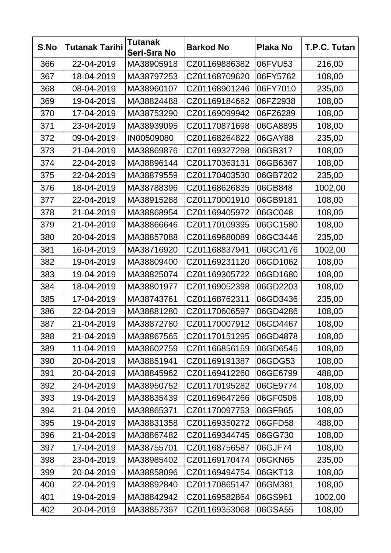| S.No | <b>Tutanak Tarihi</b> | <b>Tutanak</b><br>Seri-Sıra No | <b>Barkod No</b> | <b>Plaka No</b> | T.P.C. Tutarı |
|------|-----------------------|--------------------------------|------------------|-----------------|---------------|
| 366  | 22-04-2019            | MA38905918                     | CZ01169886382    | 06FVU53         | 216,00        |
| 367  | 18-04-2019            | MA38797253                     | CZ01168709620    | 06FY5762        | 108,00        |
| 368  | 08-04-2019            | MA38960107                     | CZ01168901246    | 06FY7010        | 235,00        |
| 369  | 19-04-2019            | MA38824488                     | CZ01169184662    | 06FZ2938        | 108,00        |
| 370  | 17-04-2019            | MA38753290                     | CZ01169099942    | 06FZ6289        | 108,00        |
| 371  | 23-04-2019            | MA38939095                     | CZ01170871698    | 06GA8895        | 108,00        |
| 372  | 09-04-2019            | IN00509080                     | CZ01168264822    | 06GAY88         | 235,00        |
| 373  | 21-04-2019            | MA38869876                     | CZ01169327298    | 06GB317         | 108,00        |
| 374  | 22-04-2019            | MA38896144                     | CZ01170363131    | 06GB6367        | 108,00        |
| 375  | 22-04-2019            | MA38879559                     | CZ01170403530    | 06GB7202        | 235,00        |
| 376  | 18-04-2019            | MA38788396                     | CZ01168626835    | 06GB848         | 1002,00       |
| 377  | 22-04-2019            | MA38915288                     | CZ01170001910    | 06GB9181        | 108,00        |
| 378  | 21-04-2019            | MA38868954                     | CZ01169405972    | 06GC048         | 108,00        |
| 379  | 21-04-2019            | MA38866646                     | CZ01170109395    | 06GC1580        | 108,00        |
| 380  | 20-04-2019            | MA38857088                     | CZ01169680089    | 06GC3446        | 235,00        |
| 381  | 16-04-2019            | MA38716920                     | CZ01168837941    | 06GC4176        | 1002,00       |
| 382  | 19-04-2019            | MA38809400                     | CZ01169231120    | 06GD1062        | 108,00        |
| 383  | 19-04-2019            | MA38825074                     | CZ01169305722    | 06GD1680        | 108,00        |
| 384  | 18-04-2019            | MA38801977                     | CZ01169052398    | 06GD2203        | 108,00        |
| 385  | 17-04-2019            | MA38743761                     | CZ01168762311    | 06GD3436        | 235,00        |
| 386  | 22-04-2019            | MA38881280                     | CZ01170606597    | 06GD4286        | 108,00        |
| 387  | 21-04-2019            | MA38872780                     | CZ01170007912    | 06GD4467        | 108,00        |
| 388  | 21-04-2019            | MA38867565                     | CZ01170151295    | 06GD4878        | 108,00        |
| 389  | 11-04-2019            | MA38602759                     | CZ01166856159    | 06GD6545        | 108,00        |
| 390  | 20-04-2019            | MA38851941                     | CZ01169191387    | 06GDG53         | 108,00        |
| 391  | 20-04-2019            | MA38845962                     | CZ01169412260    | 06GE6799        | 488,00        |
| 392  | 24-04-2019            | MA38950752                     | CZ01170195282    | 06GE9774        | 108,00        |
| 393  | 19-04-2019            | MA38835439                     | CZ01169647266    | 06GF0508        | 108,00        |
| 394  | 21-04-2019            | MA38865371                     | CZ01170097753    | 06GFB65         | 108,00        |
| 395  | 19-04-2019            | MA38831358                     | CZ01169350272    | 06GFD58         | 488,00        |
| 396  | 21-04-2019            | MA38867482                     | CZ01169344745    | 06GG730         | 108,00        |
| 397  | 17-04-2019            | MA38755701                     | CZ01168756587    | 06GJF74         | 108,00        |
| 398  | 23-04-2019            | MA38985402                     | CZ01169170474    | 06GKN65         | 235,00        |
| 399  | 20-04-2019            | MA38858096                     | CZ01169494754    | 06GKT13         | 108,00        |
| 400  | 22-04-2019            | MA38892840                     | CZ01170865147    | 06GM381         | 108,00        |
| 401  | 19-04-2019            | MA38842942                     | CZ01169582864    | 06GS961         | 1002,00       |
| 402  | 20-04-2019            | MA38857367                     | CZ01169353068    | 06GSA55         | 108,00        |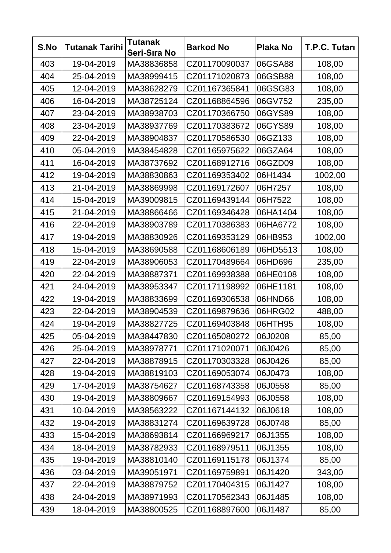| S.No | <b>Tutanak Tarihi</b> | <b>Tutanak</b><br>Seri-Sıra No | <b>Barkod No</b> | <b>Plaka No</b> | T.P.C. Tutarı |
|------|-----------------------|--------------------------------|------------------|-----------------|---------------|
| 403  | 19-04-2019            | MA38836858                     | CZ01170090037    | 06GSA88         | 108,00        |
| 404  | 25-04-2019            | MA38999415                     | CZ01171020873    | 06GSB88         | 108,00        |
| 405  | 12-04-2019            | MA38628279                     | CZ01167365841    | 06GSG83         | 108,00        |
| 406  | 16-04-2019            | MA38725124                     | CZ01168864596    | 06GV752         | 235,00        |
| 407  | 23-04-2019            | MA38938703                     | CZ01170366750    | 06GYS89         | 108,00        |
| 408  | 23-04-2019            | MA38937769                     | CZ01170383672    | 06GYS89         | 108,00        |
| 409  | 22-04-2019            | MA38904837                     | CZ01170586530    | 06GZ133         | 108,00        |
| 410  | 05-04-2019            | MA38454828                     | CZ01165975622    | 06GZA64         | 108,00        |
| 411  | 16-04-2019            | MA38737692                     | CZ01168912716    | 06GZD09         | 108,00        |
| 412  | 19-04-2019            | MA38830863                     | CZ01169353402    | 06H1434         | 1002,00       |
| 413  | 21-04-2019            | MA38869998                     | CZ01169172607    | 06H7257         | 108,00        |
| 414  | 15-04-2019            | MA39009815                     | CZ01169439144    | 06H7522         | 108,00        |
| 415  | 21-04-2019            | MA38866466                     | CZ01169346428    | 06HA1404        | 108,00        |
| 416  | 22-04-2019            | MA38903789                     | CZ01170386383    | 06HA6772        | 108,00        |
| 417  | 19-04-2019            | MA38830926                     | CZ01169353129    | 06HB953         | 1002,00       |
| 418  | 15-04-2019            | MA38690588                     | CZ01168606189    | 06HD5513        | 108,00        |
| 419  | 22-04-2019            | MA38906053                     | CZ01170489664    | 06HD696         | 235,00        |
| 420  | 22-04-2019            | MA38887371                     | CZ01169938388    | 06HE0108        | 108,00        |
| 421  | 24-04-2019            | MA38953347                     | CZ01171198992    | 06HE1181        | 108,00        |
| 422  | 19-04-2019            | MA38833699                     | CZ01169306538    | 06HND66         | 108,00        |
| 423  | 22-04-2019            | MA38904539                     | CZ01169879636    | 06HRG02         | 488,00        |
| 424  | 19-04-2019            | MA38827725                     | CZ01169403848    | 06HTH95         | 108,00        |
| 425  | 05-04-2019            | MA38447830                     | CZ01165080272    | 06J0208         | 85,00         |
| 426  | 25-04-2019            | MA38978771                     | CZ01171020071    | 06J0426         | 85,00         |
| 427  | 22-04-2019            | MA38878915                     | CZ01170303328    | 06J0426         | 85,00         |
| 428  | 19-04-2019            | MA38819103                     | CZ01169053074    | 06J0473         | 108,00        |
| 429  | 17-04-2019            | MA38754627                     | CZ01168743358    | 06J0558         | 85,00         |
| 430  | 19-04-2019            | MA38809667                     | CZ01169154993    | 06J0558         | 108,00        |
| 431  | 10-04-2019            | MA38563222                     | CZ01167144132    | 06J0618         | 108,00        |
| 432  | 19-04-2019            | MA38831274                     | CZ01169639728    | 06J0748         | 85,00         |
| 433  | 15-04-2019            | MA38693814                     | CZ01166969217    | 06J1355         | 108,00        |
| 434  | 18-04-2019            | MA38782933                     | CZ01168979511    | 06J1355         | 108,00        |
| 435  | 19-04-2019            | MA38810140                     | CZ01169115178    | 06J1374         | 85,00         |
| 436  | 03-04-2019            | MA39051971                     | CZ01169759891    | 06J1420         | 343,00        |
| 437  | 22-04-2019            | MA38879752                     | CZ01170404315    | 06J1427         | 108,00        |
| 438  | 24-04-2019            | MA38971993                     | CZ01170562343    | 06J1485         | 108,00        |
| 439  | 18-04-2019            | MA38800525                     | CZ01168897600    | 06J1487         | 85,00         |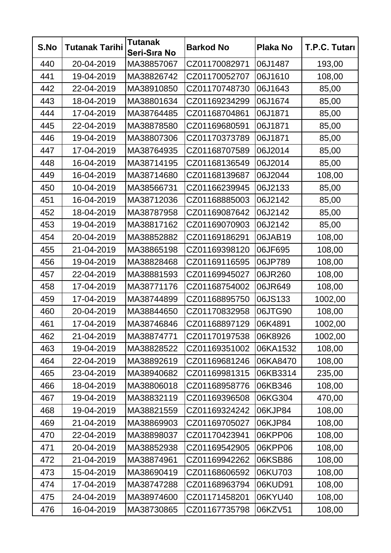| S.No | <b>Tutanak Tarihi</b> | <b>Tutanak</b><br>Seri-Sıra No | <b>Barkod No</b> | <b>Plaka No</b> | T.P.C. Tutarı |
|------|-----------------------|--------------------------------|------------------|-----------------|---------------|
| 440  | 20-04-2019            | MA38857067                     | CZ01170082971    | 06J1487         | 193,00        |
| 441  | 19-04-2019            | MA38826742                     | CZ01170052707    | 06J1610         | 108,00        |
| 442  | 22-04-2019            | MA38910850                     | CZ01170748730    | 06J1643         | 85,00         |
| 443  | 18-04-2019            | MA38801634                     | CZ01169234299    | 06J1674         | 85,00         |
| 444  | 17-04-2019            | MA38764485                     | CZ01168704861    | 06J1871         | 85,00         |
| 445  | 22-04-2019            | MA38878580                     | CZ01169680591    | 06J1871         | 85,00         |
| 446  | 19-04-2019            | MA38807306                     | CZ01170373789    | 06J1871         | 85,00         |
| 447  | 17-04-2019            | MA38764935                     | CZ01168707589    | 06J2014         | 85,00         |
| 448  | 16-04-2019            | MA38714195                     | CZ01168136549    | 06J2014         | 85,00         |
| 449  | 16-04-2019            | MA38714680                     | CZ01168139687    | 06J2044         | 108,00        |
| 450  | 10-04-2019            | MA38566731                     | CZ01166239945    | 06J2133         | 85,00         |
| 451  | 16-04-2019            | MA38712036                     | CZ01168885003    | 06J2142         | 85,00         |
| 452  | 18-04-2019            | MA38787958                     | CZ01169087642    | 06J2142         | 85,00         |
| 453  | 19-04-2019            | MA38817162                     | CZ01169070903    | 06J2142         | 85,00         |
| 454  | 20-04-2019            | MA38852882                     | CZ01169186291    | 06JAB19         | 108,00        |
| 455  | 21-04-2019            | MA38865198                     | CZ01169398120    | 06JF695         | 108,00        |
| 456  | 19-04-2019            | MA38828468                     | CZ01169116595    | 06JP789         | 108,00        |
| 457  | 22-04-2019            | MA38881593                     | CZ01169945027    | 06JR260         | 108,00        |
| 458  | 17-04-2019            | MA38771176                     | CZ01168754002    | 06JR649         | 108,00        |
| 459  | 17-04-2019            | MA38744899                     | CZ01168895750    | 06JS133         | 1002,00       |
| 460  | 20-04-2019            | MA38844650                     | CZ01170832958    | 06JTG90         | 108,00        |
| 461  | 17-04-2019            | MA38746846                     | CZ01168897129    | 06K4891         | 1002,00       |
| 462  | 21-04-2019            | MA38874771                     | CZ01170197538    | 06K8926         | 1002,00       |
| 463  | 19-04-2019            | MA38828522                     | CZ01169351002    | 06KA1532        | 108,00        |
| 464  | 22-04-2019            | MA38892619                     | CZ01169681246    | 06KA8470        | 108,00        |
| 465  | 23-04-2019            | MA38940682                     | CZ01169981315    | 06KB3314        | 235,00        |
| 466  | 18-04-2019            | MA38806018                     | CZ01168958776    | 06KB346         | 108,00        |
| 467  | 19-04-2019            | MA38832119                     | CZ01169396508    | 06KG304         | 470,00        |
| 468  | 19-04-2019            | MA38821559                     | CZ01169324242    | 06KJP84         | 108,00        |
| 469  | 21-04-2019            | MA38869903                     | CZ01169705027    | 06KJP84         | 108,00        |
| 470  | 22-04-2019            | MA38898037                     | CZ01170423941    | 06KPP06         | 108,00        |
| 471  | 20-04-2019            | MA38852938                     | CZ01169542905    | 06KPP06         | 108,00        |
| 472  | 21-04-2019            | MA38874961                     | CZ01169942262    | 06KSB86         | 108,00        |
| 473  | 15-04-2019            | MA38690419                     | CZ01168606592    | 06KU703         | 108,00        |
| 474  | 17-04-2019            | MA38747288                     | CZ01168963794    | 06KUD91         | 108,00        |
| 475  | 24-04-2019            | MA38974600                     | CZ01171458201    | 06KYU40         | 108,00        |
| 476  | 16-04-2019            | MA38730865                     | CZ01167735798    | 06KZV51         | 108,00        |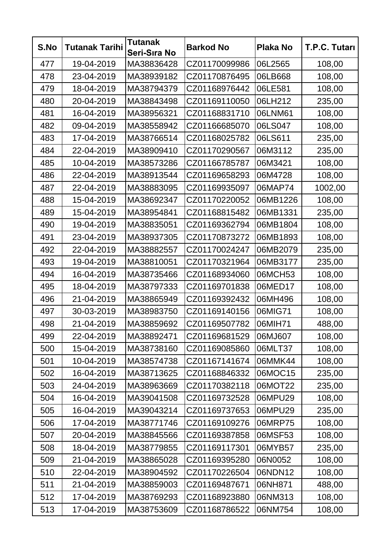| S.No | <b>Tutanak Tarihi</b> | <b>Tutanak</b><br>Seri-Sıra No | <b>Barkod No</b> | <b>Plaka No</b> | T.P.C. Tutarı |
|------|-----------------------|--------------------------------|------------------|-----------------|---------------|
| 477  | 19-04-2019            | MA38836428                     | CZ01170099986    | 06L2565         | 108,00        |
| 478  | 23-04-2019            | MA38939182                     | CZ01170876495    | 06LB668         | 108,00        |
| 479  | 18-04-2019            | MA38794379                     | CZ01168976442    | 06LE581         | 108,00        |
| 480  | 20-04-2019            | MA38843498                     | CZ01169110050    | 06LH212         | 235,00        |
| 481  | 16-04-2019            | MA38956321                     | CZ01168831710    | 06LNM61         | 108,00        |
| 482  | 09-04-2019            | MA38558942                     | CZ01166685070    | 06LS047         | 108,00        |
| 483  | 17-04-2019            | MA38766514                     | CZ01168025782    | 06LS611         | 235,00        |
| 484  | 22-04-2019            | MA38909410                     | CZ01170290567    | 06M3112         | 235,00        |
| 485  | 10-04-2019            | MA38573286                     | CZ01166785787    | 06M3421         | 108,00        |
| 486  | 22-04-2019            | MA38913544                     | CZ01169658293    | 06M4728         | 108,00        |
| 487  | 22-04-2019            | MA38883095                     | CZ01169935097    | 06MAP74         | 1002,00       |
| 488  | 15-04-2019            | MA38692347                     | CZ01170220052    | 06MB1226        | 108,00        |
| 489  | 15-04-2019            | MA38954841                     | CZ01168815482    | 06MB1331        | 235,00        |
| 490  | 19-04-2019            | MA38835051                     | CZ01169362794    | 06MB1804        | 108,00        |
| 491  | 23-04-2019            | MA38937305                     | CZ01170873272    | 06MB1893        | 108,00        |
| 492  | 22-04-2019            | MA38882557                     | CZ01170024247    | 06MB2079        | 235,00        |
| 493  | 19-04-2019            | MA38810051                     | CZ01170321964    | 06MB3177        | 235,00        |
| 494  | 16-04-2019            | MA38735466                     | CZ01168934060    | 06MCH53         | 108,00        |
| 495  | 18-04-2019            | MA38797333                     | CZ01169701838    | 06MED17         | 108,00        |
| 496  | 21-04-2019            | MA38865949                     | CZ01169392432    | 06MH496         | 108,00        |
| 497  | 30-03-2019            | MA38983750                     | CZ01169140156    | 06MIG71         | 108,00        |
| 498  | 21-04-2019            | MA38859692                     | CZ01169507782    | 06MIH71         | 488,00        |
| 499  | 22-04-2019            | MA38892471                     | CZ01169681529    | 06MJ607         | 108,00        |
| 500  | 15-04-2019            | MA38738160                     | CZ01169085860    | 06MLT37         | 108,00        |
| 501  | 10-04-2019            | MA38574738                     | CZ01167141674    | 06MMK44         | 108,00        |
| 502  | 16-04-2019            | MA38713625                     | CZ01168846332    | 06MOC15         | 235,00        |
| 503  | 24-04-2019            | MA38963669                     | CZ01170382118    | 06MOT22         | 235,00        |
| 504  | 16-04-2019            | MA39041508                     | CZ01169732528    | 06MPU29         | 108,00        |
| 505  | 16-04-2019            | MA39043214                     | CZ01169737653    | 06MPU29         | 235,00        |
| 506  | 17-04-2019            | MA38771746                     | CZ01169109276    | 06MRP75         | 108,00        |
| 507  | 20-04-2019            | MA38845566                     | CZ01169387858    | 06MSF53         | 108,00        |
| 508  | 18-04-2019            | MA38779855                     | CZ01169117301    | 06MYB57         | 235,00        |
| 509  | 21-04-2019            | MA38865028                     | CZ01169395280    | 06N0052         | 108,00        |
| 510  | 22-04-2019            | MA38904592                     | CZ01170226504    | 06NDN12         | 108,00        |
| 511  | 21-04-2019            | MA38859003                     | CZ01169487671    | 06NH871         | 488,00        |
| 512  | 17-04-2019            | MA38769293                     | CZ01168923880    | 06NM313         | 108,00        |
| 513  | 17-04-2019            | MA38753609                     | CZ01168786522    | 06NM754         | 108,00        |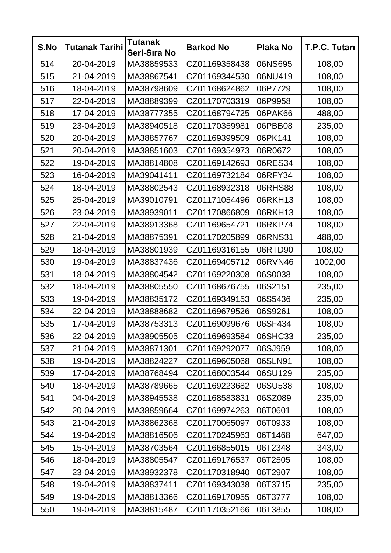| S.No | <b>Tutanak Tarihi</b> | <b>Tutanak</b><br>Seri-Sıra No | <b>Barkod No</b> | <b>Plaka No</b> | T.P.C. Tutarı |
|------|-----------------------|--------------------------------|------------------|-----------------|---------------|
| 514  | 20-04-2019            | MA38859533                     | CZ01169358438    | 06NS695         | 108,00        |
| 515  | 21-04-2019            | MA38867541                     | CZ01169344530    | 06NU419         | 108,00        |
| 516  | 18-04-2019            | MA38798609                     | CZ01168624862    | 06P7729         | 108,00        |
| 517  | 22-04-2019            | MA38889399                     | CZ01170703319    | 06P9958         | 108,00        |
| 518  | 17-04-2019            | MA38777355                     | CZ01168794725    | 06PAK66         | 488,00        |
| 519  | 23-04-2019            | MA38940518                     | CZ01170359981    | 06PBB08         | 235,00        |
| 520  | 20-04-2019            | MA38857767                     | CZ01169399509    | 06PK141         | 108,00        |
| 521  | 20-04-2019            | MA38851603                     | CZ01169354973    | 06R0672         | 108,00        |
| 522  | 19-04-2019            | MA38814808                     | CZ01169142693    | 06RES34         | 108,00        |
| 523  | 16-04-2019            | MA39041411                     | CZ01169732184    | 06RFY34         | 108,00        |
| 524  | 18-04-2019            | MA38802543                     | CZ01168932318    | 06RHS88         | 108,00        |
| 525  | 25-04-2019            | MA39010791                     | CZ01171054496    | 06RKH13         | 108,00        |
| 526  | 23-04-2019            | MA38939011                     | CZ01170866809    | 06RKH13         | 108,00        |
| 527  | 22-04-2019            | MA38913368                     | CZ01169654721    | 06RKP74         | 108,00        |
| 528  | 21-04-2019            | MA38875391                     | CZ01170205899    | 06RNS31         | 488,00        |
| 529  | 18-04-2019            | MA38801939                     | CZ01169316155    | 06RTD90         | 108,00        |
| 530  | 19-04-2019            | MA38837436                     | CZ01169405712    | 06RVN46         | 1002,00       |
| 531  | 18-04-2019            | MA38804542                     | CZ01169220308    | 06S0038         | 108,00        |
| 532  | 18-04-2019            | MA38805550                     | CZ01168676755    | 06S2151         | 235,00        |
| 533  | 19-04-2019            | MA38835172                     | CZ01169349153    | 06S5436         | 235,00        |
| 534  | 22-04-2019            | MA38888682                     | CZ01169679526    | 06S9261         | 108,00        |
| 535  | 17-04-2019            | MA38753313                     | CZ01169099676    | 06SF434         | 108,00        |
| 536  | 22-04-2019            | MA38905505                     | CZ01169693584    | 06SHC33         | 235,00        |
| 537  | 21-04-2019            | MA38871301                     | CZ01169292077    | 06SJ959         | 108,00        |
| 538  | 19-04-2019            | MA38824227                     | CZ01169605068    | 06SLN91         | 108,00        |
| 539  | 17-04-2019            | MA38768494                     | CZ01168003544    | 06SU129         | 235,00        |
| 540  | 18-04-2019            | MA38789665                     | CZ01169223682    | 06SU538         | 108,00        |
| 541  | 04-04-2019            | MA38945538                     | CZ01168583831    | 06SZ089         | 235,00        |
| 542  | 20-04-2019            | MA38859664                     | CZ01169974263    | 06T0601         | 108,00        |
| 543  | 21-04-2019            | MA38862368                     | CZ01170065097    | 06T0933         | 108,00        |
| 544  | 19-04-2019            | MA38816506                     | CZ01170245963    | 06T1468         | 647,00        |
| 545  | 15-04-2019            | MA38703564                     | CZ01166855015    | 06T2348         | 343,00        |
| 546  | 18-04-2019            | MA38805547                     | CZ01169176537    | 06T2505         | 108,00        |
| 547  | 23-04-2019            | MA38932378                     | CZ01170318940    | 06T2907         | 108,00        |
| 548  | 19-04-2019            | MA38837411                     | CZ01169343038    | 06T3715         | 235,00        |
| 549  | 19-04-2019            | MA38813366                     | CZ01169170955    | 06T3777         | 108,00        |
| 550  | 19-04-2019            | MA38815487                     | CZ01170352166    | 06T3855         | 108,00        |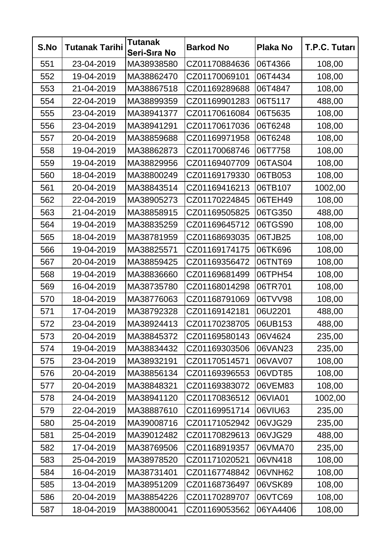| S.No | <b>Tutanak Tarihi</b> | <b>Tutanak</b><br>Seri-Sıra No | <b>Barkod No</b> | <b>Plaka No</b> | T.P.C. Tutarı |
|------|-----------------------|--------------------------------|------------------|-----------------|---------------|
| 551  | 23-04-2019            | MA38938580                     | CZ01170884636    | 06T4366         | 108,00        |
| 552  | 19-04-2019            | MA38862470                     | CZ01170069101    | 06T4434         | 108,00        |
| 553  | 21-04-2019            | MA38867518                     | CZ01169289688    | 06T4847         | 108,00        |
| 554  | 22-04-2019            | MA38899359                     | CZ01169901283    | 06T5117         | 488,00        |
| 555  | 23-04-2019            | MA38941377                     | CZ01170616084    | 06T5635         | 108,00        |
| 556  | 23-04-2019            | MA38941291                     | CZ01170617036    | 06T6248         | 108,00        |
| 557  | 20-04-2019            | MA38859688                     | CZ01169971958    | 06T6248         | 108,00        |
| 558  | 19-04-2019            | MA38862873                     | CZ01170068746    | 06T7758         | 108,00        |
| 559  | 19-04-2019            | MA38829956                     | CZ01169407709    | 06TAS04         | 108,00        |
| 560  | 18-04-2019            | MA38800249                     | CZ01169179330    | 06TB053         | 108,00        |
| 561  | 20-04-2019            | MA38843514                     | CZ01169416213    | 06TB107         | 1002,00       |
| 562  | 22-04-2019            | MA38905273                     | CZ01170224845    | 06TEH49         | 108,00        |
| 563  | 21-04-2019            | MA38858915                     | CZ01169505825    | 06TG350         | 488,00        |
| 564  | 19-04-2019            | MA38835259                     | CZ01169645712    | 06TGS90         | 108,00        |
| 565  | 18-04-2019            | MA38781959                     | CZ01168693035    | 06TJB25         | 108,00        |
| 566  | 19-04-2019            | MA38825571                     | CZ01169174175    | 06TK696         | 108,00        |
| 567  | 20-04-2019            | MA38859425                     | CZ01169356472    | 06TNT69         | 108,00        |
| 568  | 19-04-2019            | MA38836660                     | CZ01169681499    | 06TPH54         | 108,00        |
| 569  | 16-04-2019            | MA38735780                     | CZ01168014298    | 06TR701         | 108,00        |
| 570  | 18-04-2019            | MA38776063                     | CZ01168791069    | 06TVV98         | 108,00        |
| 571  | 17-04-2019            | MA38792328                     | CZ01169142181    | 06U2201         | 488,00        |
| 572  | 23-04-2019            | MA38924413                     | CZ01170238705    | 06UB153         | 488,00        |
| 573  | 20-04-2019            | MA38845372                     | CZ01169580143    | 06V4624         | 235,00        |
| 574  | 19-04-2019            | MA38834432                     | CZ01169303506    | 06VAN23         | 235,00        |
| 575  | 23-04-2019            | MA38932191                     | CZ01170514571    | 06VAV07         | 108,00        |
| 576  | 20-04-2019            | MA38856134                     | CZ01169396553    | 06VDT85         | 108,00        |
| 577  | 20-04-2019            | MA38848321                     | CZ01169383072    | 06VEM83         | 108,00        |
| 578  | 24-04-2019            | MA38941120                     | CZ01170836512    | 06VIA01         | 1002,00       |
| 579  | 22-04-2019            | MA38887610                     | CZ01169951714    | 06VIU63         | 235,00        |
| 580  | 25-04-2019            | MA39008716                     | CZ01171052942    | 06VJG29         | 235,00        |
| 581  | 25-04-2019            | MA39012482                     | CZ01170829613    | 06VJG29         | 488,00        |
| 582  | 17-04-2019            | MA38769506                     | CZ01168919357    | 06VMA70         | 235,00        |
| 583  | 25-04-2019            | MA38978520                     | CZ01171020521    | 06VN418         | 108,00        |
| 584  | 16-04-2019            | MA38731401                     | CZ01167748842    | 06VNH62         | 108,00        |
| 585  | 13-04-2019            | MA38951209                     | CZ01168736497    | 06VSK89         | 108,00        |
| 586  | 20-04-2019            | MA38854226                     | CZ01170289707    | 06VTC69         | 108,00        |
| 587  | 18-04-2019            | MA38800041                     | CZ01169053562    | 06YA4406        | 108,00        |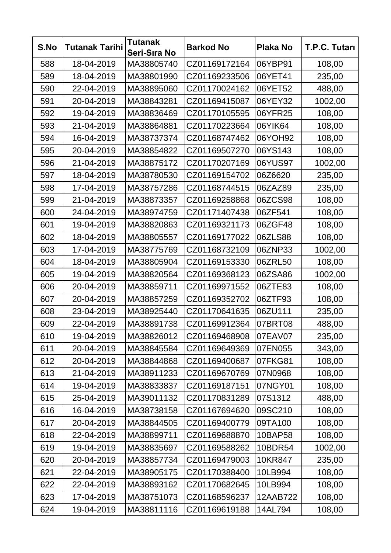| S.No | <b>Tutanak Tarihi</b> | <b>Tutanak</b><br>Seri-Sıra No | <b>Barkod No</b> | <b>Plaka No</b> | T.P.C. Tutarı |
|------|-----------------------|--------------------------------|------------------|-----------------|---------------|
| 588  | 18-04-2019            | MA38805740                     | CZ01169172164    | 06YBP91         | 108,00        |
| 589  | 18-04-2019            | MA38801990                     | CZ01169233506    | 06YET41         | 235,00        |
| 590  | 22-04-2019            | MA38895060                     | CZ01170024162    | 06YET52         | 488,00        |
| 591  | 20-04-2019            | MA38843281                     | CZ01169415087    | 06YEY32         | 1002,00       |
| 592  | 19-04-2019            | MA38836469                     | CZ01170105595    | 06YFR25         | 108,00        |
| 593  | 21-04-2019            | MA38864881                     | CZ01170223664    | 06YIK64         | 108,00        |
| 594  | 16-04-2019            | MA38737374                     | CZ01168747462    | 06YOH92         | 108,00        |
| 595  | 20-04-2019            | MA38854822                     | CZ01169507270    | 06YS143         | 108,00        |
| 596  | 21-04-2019            | MA38875172                     | CZ01170207169    | 06YUS97         | 1002,00       |
| 597  | 18-04-2019            | MA38780530                     | CZ01169154702    | 06Z6620         | 235,00        |
| 598  | 17-04-2019            | MA38757286                     | CZ01168744515    | 06ZAZ89         | 235,00        |
| 599  | 21-04-2019            | MA38873357                     | CZ01169258868    | 06ZCS98         | 108,00        |
| 600  | 24-04-2019            | MA38974759                     | CZ01171407438    | 06ZF541         | 108,00        |
| 601  | 19-04-2019            | MA38820863                     | CZ01169321173    | 06ZGF48         | 108,00        |
| 602  | 18-04-2019            | MA38805557                     | CZ01169177022    | 06ZLS88         | 108,00        |
| 603  | 17-04-2019            | MA38775769                     | CZ01168732109    | 06ZNP33         | 1002,00       |
| 604  | 18-04-2019            | MA38805904                     | CZ01169153330    | 06ZRL50         | 108,00        |
| 605  | 19-04-2019            | MA38820564                     | CZ01169368123    | 06ZSA86         | 1002,00       |
| 606  | 20-04-2019            | MA38859711                     | CZ01169971552    | 06ZTE83         | 108,00        |
| 607  | 20-04-2019            | MA38857259                     | CZ01169352702    | 06ZTF93         | 108,00        |
| 608  | 23-04-2019            | MA38925440                     | CZ01170641635    | 06ZU111         | 235,00        |
| 609  | 22-04-2019            | MA38891738                     | CZ01169912364    | 07BRT08         | 488,00        |
| 610  | 19-04-2019            | MA38826012                     | CZ01169468908    | 07EAV07         | 235,00        |
| 611  | 20-04-2019            | MA38845584                     | CZ01169649369    | 07EN055         | 343,00        |
| 612  | 20-04-2019            | MA38844868                     | CZ01169400687    | 07FKG81         | 108,00        |
| 613  | 21-04-2019            | MA38911233                     | CZ01169670769    | 07N0968         | 108,00        |
| 614  | 19-04-2019            | MA38833837                     | CZ01169187151    | 07NGY01         | 108,00        |
| 615  | 25-04-2019            | MA39011132                     | CZ01170831289    | 07S1312         | 488,00        |
| 616  | 16-04-2019            | MA38738158                     | CZ01167694620    | 09SC210         | 108,00        |
| 617  | 20-04-2019            | MA38844505                     | CZ01169400779    | 09TA100         | 108,00        |
| 618  | 22-04-2019            | MA38899711                     | CZ01169688870    | 10BAP58         | 108,00        |
| 619  | 19-04-2019            | MA38835697                     | CZ01169588262    | 10BDR54         | 1002,00       |
| 620  | 20-04-2019            | MA38857734                     | CZ01169479003    | 10KR847         | 235,00        |
| 621  | 22-04-2019            | MA38905175                     | CZ01170388400    | 10LB994         | 108,00        |
| 622  | 22-04-2019            | MA38893162                     | CZ01170682645    | 10LB994         | 108,00        |
| 623  | 17-04-2019            | MA38751073                     | CZ01168596237    | 12AAB722        | 108,00        |
| 624  | 19-04-2019            | MA38811116                     | CZ01169619188    | 14AL794         | 108,00        |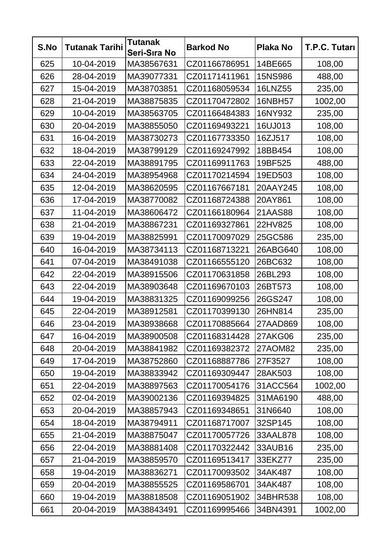| S.No | <b>Tutanak Tarihi</b> | <b>Tutanak</b><br>Seri-Sıra No | <b>Barkod No</b> | <b>Plaka No</b> | T.P.C. Tutarı |
|------|-----------------------|--------------------------------|------------------|-----------------|---------------|
| 625  | 10-04-2019            | MA38567631                     | CZ01166786951    | 14BE665         | 108,00        |
| 626  | 28-04-2019            | MA39077331                     | CZ01171411961    | 15NS986         | 488,00        |
| 627  | 15-04-2019            | MA38703851                     | CZ01168059534    | <b>16LNZ55</b>  | 235,00        |
| 628  | 21-04-2019            | MA38875835                     | CZ01170472802    | <b>16NBH57</b>  | 1002,00       |
| 629  | 10-04-2019            | MA38563705                     | CZ01166484383    | 16NY932         | 235,00        |
| 630  | 20-04-2019            | MA38855050                     | CZ01169493221    | 16UJ013         | 108,00        |
| 631  | 16-04-2019            | MA38730273                     | CZ01167733350    | 16ZJ517         | 108,00        |
| 632  | 18-04-2019            | MA38799129                     | CZ01169247992    | 18BB454         | 108,00        |
| 633  | 22-04-2019            | MA38891795                     | CZ01169911763    | 19BF525         | 488,00        |
| 634  | 24-04-2019            | MA38954968                     | CZ01170214594    | 19ED503         | 108,00        |
| 635  | 12-04-2019            | MA38620595                     | CZ01167667181    | 20AAY245        | 108,00        |
| 636  | 17-04-2019            | MA38770082                     | CZ01168724388    | 20AY861         | 108,00        |
| 637  | 11-04-2019            | MA38606472                     | CZ01166180964    | 21AAS88         | 108,00        |
| 638  | 21-04-2019            | MA38867231                     | CZ01169327861    | 22HV825         | 108,00        |
| 639  | 19-04-2019            | MA38825991                     | CZ01170097029    | 25GC586         | 235,00        |
| 640  | 16-04-2019            | MA38734113                     | CZ01168713221    | 26ABG640        | 108,00        |
| 641  | 07-04-2019            | MA38491038                     | CZ01166555120    | 26BC632         | 108,00        |
| 642  | 22-04-2019            | MA38915506                     | CZ01170631858    | 26BL293         | 108,00        |
| 643  | 22-04-2019            | MA38903648                     | CZ01169670103    | 26BT573         | 108,00        |
| 644  | 19-04-2019            | MA38831325                     | CZ01169099256    | 26GS247         | 108,00        |
| 645  | 22-04-2019            | MA38912581                     | CZ01170399130    | 26HN814         | 235,00        |
| 646  | 23-04-2019            | MA38938668                     | CZ01170885664    | 27AAD869        | 108,00        |
| 647  | 16-04-2019            | MA38900508                     | CZ01168314428    | 27AKG06         | 235,00        |
| 648  | 20-04-2019            | MA38841982                     | CZ01169382372    | 27AOM82         | 235,00        |
| 649  | 17-04-2019            | MA38752860                     | CZ01168887786    | 27F3527         | 108,00        |
| 650  | 19-04-2019            | MA38833942                     | CZ01169309447    | 28AK503         | 108,00        |
| 651  | 22-04-2019            | MA38897563                     | CZ01170054176    | 31ACC564        | 1002,00       |
| 652  | 02-04-2019            | MA39002136                     | CZ01169394825    | 31MA6190        | 488,00        |
| 653  | 20-04-2019            | MA38857943                     | CZ01169348651    | 31N6640         | 108,00        |
| 654  | 18-04-2019            | MA38794911                     | CZ01168717007    | 32SP145         | 108,00        |
| 655  | 21-04-2019            | MA38875047                     | CZ01170057726    | 33AAL878        | 108,00        |
| 656  | 22-04-2019            | MA38881408                     | CZ01170322442    | 33AUB16         | 235,00        |
| 657  | 21-04-2019            | MA38859570                     | CZ01169513417    | 33EKZ77         | 235,00        |
| 658  | 19-04-2019            | MA38836271                     | CZ01170093502    | 34AK487         | 108,00        |
| 659  | 20-04-2019            | MA38855525                     | CZ01169586701    | 34AK487         | 108,00        |
| 660  | 19-04-2019            | MA38818508                     | CZ01169051902    | 34BHR538        | 108,00        |
| 661  | 20-04-2019            | MA38843491                     | CZ01169995466    | 34BN4391        | 1002,00       |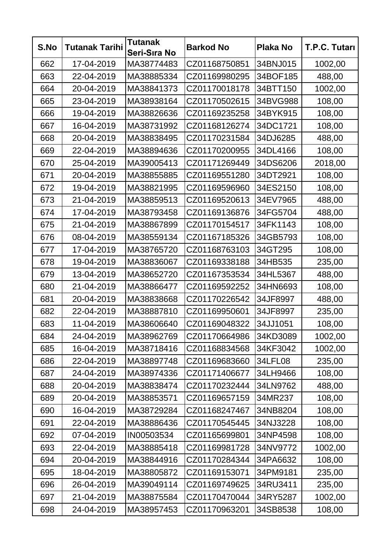| S.No | <b>Tutanak Tarihi</b> | <b>Tutanak</b><br>Seri-Sıra No | <b>Barkod No</b> | <b>Plaka No</b> | T.P.C. Tutarı |
|------|-----------------------|--------------------------------|------------------|-----------------|---------------|
| 662  | 17-04-2019            | MA38774483                     | CZ01168750851    | 34BNJ015        | 1002,00       |
| 663  | 22-04-2019            | MA38885334                     | CZ01169980295    | 34BOF185        | 488,00        |
| 664  | 20-04-2019            | MA38841373                     | CZ01170018178    | 34BTT150        | 1002,00       |
| 665  | 23-04-2019            | MA38938164                     | CZ01170502615    | 34BVG988        | 108,00        |
| 666  | 19-04-2019            | MA38826636                     | CZ01169235258    | 34BYK915        | 108,00        |
| 667  | 16-04-2019            | MA38731992                     | CZ01168126274    | 34DC1721        | 108,00        |
| 668  | 20-04-2019            | MA38838495                     | CZ01170231584    | 34DJ6285        | 488,00        |
| 669  | 22-04-2019            | MA38894636                     | CZ01170200955    | 34DL4166        | 108,00        |
| 670  | 25-04-2019            | MA39005413                     | CZ01171269449    | 34DS6206        | 2018,00       |
| 671  | 20-04-2019            | MA38855885                     | CZ01169551280    | 34DT2921        | 108,00        |
| 672  | 19-04-2019            | MA38821995                     | CZ01169596960    | 34ES2150        | 108,00        |
| 673  | 21-04-2019            | MA38859513                     | CZ01169520613    | 34EV7965        | 488,00        |
| 674  | 17-04-2019            | MA38793458                     | CZ01169136876    | 34FG5704        | 488,00        |
| 675  | 21-04-2019            | MA38867899                     | CZ01170154517    | 34FK1143        | 108,00        |
| 676  | 08-04-2019            | MA38559134                     | CZ01167185326    | 34GB5793        | 108,00        |
| 677  | 17-04-2019            | MA38765720                     | CZ01168763103    | 34GT295         | 108,00        |
| 678  | 19-04-2019            | MA38836067                     | CZ01169338188    | 34HB535         | 235,00        |
| 679  | 13-04-2019            | MA38652720                     | CZ01167353534    | 34HL5367        | 488,00        |
| 680  | 21-04-2019            | MA38866477                     | CZ01169592252    | 34HN6693        | 108,00        |
| 681  | 20-04-2019            | MA38838668                     | CZ01170226542    | 34JF8997        | 488,00        |
| 682  | 22-04-2019            | MA38887810                     | CZ01169950601    | 34JF8997        | 235,00        |
| 683  | 11-04-2019            | MA38606640                     | CZ01169048322    | 34JJ1051        | 108,00        |
| 684  | 24-04-2019            | MA38962769                     | CZ01170664986    | 34KD3089        | 1002,00       |
| 685  | 16-04-2019            | MA38718416                     | CZ01168834568    | 34KF3042        | 1002,00       |
| 686  | 22-04-2019            | MA38897748                     | CZ01169683660    | 34LFL08         | 235,00        |
| 687  | 24-04-2019            | MA38974336                     | CZ01171406677    | 34LH9466        | 108,00        |
| 688  | 20-04-2019            | MA38838474                     | CZ01170232444    | 34LN9762        | 488,00        |
| 689  | 20-04-2019            | MA38853571                     | CZ01169657159    | 34MR237         | 108,00        |
| 690  | 16-04-2019            | MA38729284                     | CZ01168247467    | 34NB8204        | 108,00        |
| 691  | 22-04-2019            | MA38886436                     | CZ01170545445    | 34NJ3228        | 108,00        |
| 692  | 07-04-2019            | IN00503534                     | CZ01165699801    | 34NP4598        | 108,00        |
| 693  | 22-04-2019            | MA38885418                     | CZ01169981728    | 34NV9772        | 1002,00       |
| 694  | 20-04-2019            | MA38844916                     | CZ01170284344    | 34PA6632        | 108,00        |
| 695  | 18-04-2019            | MA38805872                     | CZ01169153071    | 34PM9181        | 235,00        |
| 696  | 26-04-2019            | MA39049114                     | CZ01169749625    | 34RU3411        | 235,00        |
| 697  | 21-04-2019            | MA38875584                     | CZ01170470044    | 34RY5287        | 1002,00       |
| 698  | 24-04-2019            | MA38957453                     | CZ01170963201    | 34SB8538        | 108,00        |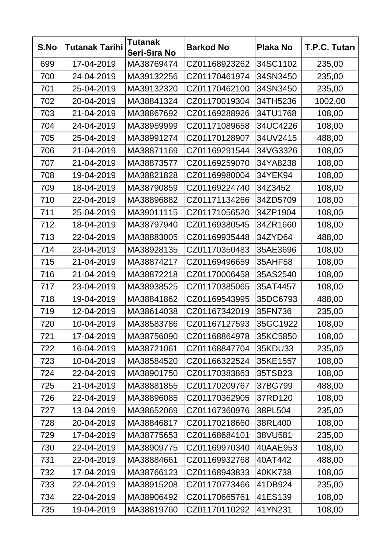| S.No | <b>Tutanak Tarihi</b> | <b>Tutanak</b><br>Seri-Sıra No | <b>Barkod No</b> | <b>Plaka No</b> | T.P.C. Tutarı |
|------|-----------------------|--------------------------------|------------------|-----------------|---------------|
| 699  | 17-04-2019            | MA38769474                     | CZ01168923262    | 34SC1102        | 235,00        |
| 700  | 24-04-2019            | MA39132256                     | CZ01170461974    | 34SN3450        | 235,00        |
| 701  | 25-04-2019            | MA39132320                     | CZ01170462100    | 34SN3450        | 235,00        |
| 702  | 20-04-2019            | MA38841324                     | CZ01170019304    | 34TH5236        | 1002,00       |
| 703  | 21-04-2019            | MA38867692                     | CZ01169288926    | 34TU1768        | 108,00        |
| 704  | 24-04-2019            | MA38959999                     | CZ01171089658    | 34UC4226        | 108,00        |
| 705  | 25-04-2019            | MA38991274                     | CZ01170128907    | 34UV2415        | 488,00        |
| 706  | 21-04-2019            | MA38871169                     | CZ01169291544    | 34VG3326        | 108,00        |
| 707  | 21-04-2019            | MA38873577                     | CZ01169259070    | 34YA8238        | 108,00        |
| 708  | 19-04-2019            | MA38821828                     | CZ01169980004    | 34YEK94         | 108,00        |
| 709  | 18-04-2019            | MA38790859                     | CZ01169224740    | 34Z3452         | 108,00        |
| 710  | 22-04-2019            | MA38896882                     | CZ01171134266    | 34ZD5709        | 108,00        |
| 711  | 25-04-2019            | MA39011115                     | CZ01171056520    | 34ZP1904        | 108,00        |
| 712  | 18-04-2019            | MA38797940                     | CZ01169380545    | 34ZR1660        | 108,00        |
| 713  | 22-04-2019            | MA38883005                     | CZ01169935448    | 34ZYD64         | 488,00        |
| 714  | 23-04-2019            | MA38928135                     | CZ01170350483    | 35AE3696        | 108,00        |
| 715  | 21-04-2019            | MA38874217                     | CZ01169496659    | 35AHF58         | 108,00        |
| 716  | 21-04-2019            | MA38872218                     | CZ01170006458    | 35AS2540        | 108,00        |
| 717  | 23-04-2019            | MA38938525                     | CZ01170385065    | 35AT4457        | 108,00        |
| 718  | 19-04-2019            | MA38841862                     | CZ01169543995    | 35DC6793        | 488,00        |
| 719  | 12-04-2019            | MA38614038                     | CZ01167342019    | 35FN736         | 235,00        |
| 720  | 10-04-2019            | MA38583786                     | CZ01167127593    | 35GC1922        | 108,00        |
| 721  | 17-04-2019            | MA38756090                     | CZ01168864978    | 35KC5850        | 108,00        |
| 722  | 16-04-2019            | MA38721061                     | CZ01168847704    | 35KDU33         | 235,00        |
| 723  | 10-04-2019            | MA38584520                     | CZ01166322524    | 35KE1557        | 108,00        |
| 724  | 22-04-2019            | MA38901750                     | CZ01170383863    | 35TSB23         | 108,00        |
| 725  | 21-04-2019            | MA38881855                     | CZ01170209767    | 37BG799         | 488,00        |
| 726  | 22-04-2019            | MA38896085                     | CZ01170362905    | 37RD120         | 108,00        |
| 727  | 13-04-2019            | MA38652069                     | CZ01167360976    | 38PL504         | 235,00        |
| 728  | 20-04-2019            | MA38846817                     | CZ01170218660    | 38RL400         | 108,00        |
| 729  | 17-04-2019            | MA38775653                     | CZ01168684101    | 38VU581         | 235,00        |
| 730  | 22-04-2019            | MA38909775                     | CZ01169970340    | 40AAE953        | 108,00        |
| 731  | 22-04-2019            | MA38884661                     | CZ01169932768    | 40AT442         | 488,00        |
| 732  | 17-04-2019            | MA38766123                     | CZ01168943833    | 40KK738         | 108,00        |
| 733  | 22-04-2019            | MA38915208                     | CZ01170773466    | 41DB924         | 235,00        |
| 734  | 22-04-2019            | MA38906492                     | CZ01170665761    | 41ES139         | 108,00        |
| 735  | 19-04-2019            | MA38819760                     | CZ01170110292    | 41YN231         | 108,00        |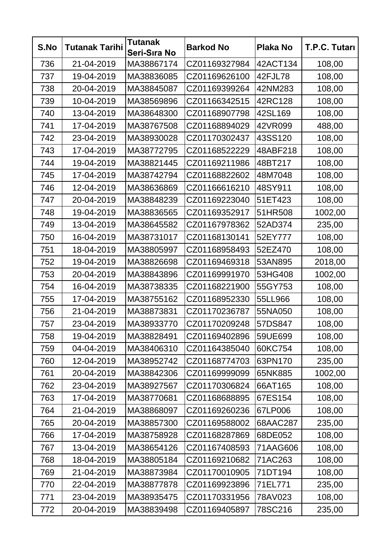| S.No | <b>Tutanak Tarihi</b> | <b>Tutanak</b><br>Seri-Sıra No | <b>Barkod No</b> | <b>Plaka No</b> | T.P.C. Tutarı |
|------|-----------------------|--------------------------------|------------------|-----------------|---------------|
| 736  | 21-04-2019            | MA38867174                     | CZ01169327984    | 42ACT134        | 108,00        |
| 737  | 19-04-2019            | MA38836085                     | CZ01169626100    | 42FJL78         | 108,00        |
| 738  | 20-04-2019            | MA38845087                     | CZ01169399264    | 42NM283         | 108,00        |
| 739  | 10-04-2019            | MA38569896                     | CZ01166342515    | 42RC128         | 108,00        |
| 740  | 13-04-2019            | MA38648300                     | CZ01168907798    | 42SL169         | 108,00        |
| 741  | 17-04-2019            | MA38767508                     | CZ01168894029    | 42VR099         | 488,00        |
| 742  | 23-04-2019            | MA38930028                     | CZ01170302437    | 43SS120         | 108,00        |
| 743  | 17-04-2019            | MA38772795                     | CZ01168522229    | 48ABF218        | 108,00        |
| 744  | 19-04-2019            | MA38821445                     | CZ01169211986    | 48BT217         | 108,00        |
| 745  | 17-04-2019            | MA38742794                     | CZ01168822602    | 48M7048         | 108,00        |
| 746  | 12-04-2019            | MA38636869                     | CZ01166616210    | 48SY911         | 108,00        |
| 747  | 20-04-2019            | MA38848239                     | CZ01169223040    | 51ET423         | 108,00        |
| 748  | 19-04-2019            | MA38836565                     | CZ01169352917    | 51HR508         | 1002,00       |
| 749  | 13-04-2019            | MA38645582                     | CZ01167978362    | 52AD374         | 235,00        |
| 750  | 16-04-2019            | MA38731017                     | CZ01168130141    | 52EY777         | 108,00        |
| 751  | 18-04-2019            | MA38805997                     | CZ01168958493    | 52EZ470         | 108,00        |
| 752  | 19-04-2019            | MA38826698                     | CZ01169469318    | 53AN895         | 2018,00       |
| 753  | 20-04-2019            | MA38843896                     | CZ01169991970    | 53HG408         | 1002,00       |
| 754  | 16-04-2019            | MA38738335                     | CZ01168221900    | 55GY753         | 108,00        |
| 755  | 17-04-2019            | MA38755162                     | CZ01168952330    | 55LL966         | 108,00        |
| 756  | 21-04-2019            | MA38873831                     | CZ01170236787    | 55NA050         | 108,00        |
| 757  | 23-04-2019            | MA38933770                     | CZ01170209248    | 57DS847         | 108,00        |
| 758  | 19-04-2019            | MA38828491                     | CZ01169402896    | 59UE699         | 108,00        |
| 759  | 04-04-2019            | MA38406310                     | CZ01164385040    | 60KC754         | 108,00        |
| 760  | 12-04-2019            | MA38952742                     | CZ01168774703    | 63PN170         | 235,00        |
| 761  | 20-04-2019            | MA38842306                     | CZ01169999099    | 65NK885         | 1002,00       |
| 762  | 23-04-2019            | MA38927567                     | CZ01170306824    | 66AT165         | 108,00        |
| 763  | 17-04-2019            | MA38770681                     | CZ01168688895    | 67ES154         | 108,00        |
| 764  | 21-04-2019            | MA38868097                     | CZ01169260236    | 67LP006         | 108,00        |
| 765  | 20-04-2019            | MA38857300                     | CZ01169588002    | 68AAC287        | 235,00        |
| 766  | 17-04-2019            | MA38758928                     | CZ01168287869    | 68DE052         | 108,00        |
| 767  | 13-04-2019            | MA38654126                     | CZ01167408593    | 71AAG606        | 108,00        |
| 768  | 18-04-2019            | MA38805184                     | CZ01169210682    | 71AC263         | 108,00        |
| 769  | 21-04-2019            | MA38873984                     | CZ01170010905    | 71DT194         | 108,00        |
| 770  | 22-04-2019            | MA38877878                     | CZ01169923896    | 71EL771         | 235,00        |
| 771  | 23-04-2019            | MA38935475                     | CZ01170331956    | 78AV023         | 108,00        |
| 772  | 20-04-2019            | MA38839498                     | CZ01169405897    | 78SC216         | 235,00        |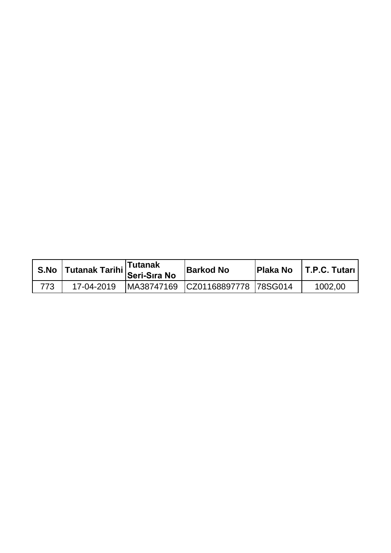|     | S.No Tutanak Tarihi Tutanak<br>Seri-Sıra No | <b>Barkod No</b>                 | <b>Plaka No FT.P.C. Tutari</b> |
|-----|---------------------------------------------|----------------------------------|--------------------------------|
| 773 | 17-04-2019                                  | MA38747169 CZ01168897778 78SG014 | 1002,00                        |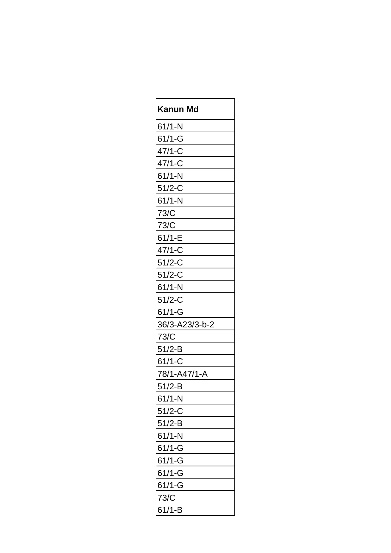| Kanun Md       |
|----------------|
| $61/1-N$       |
| $61/1 - G$     |
| $47/1-C$       |
| $47/1-C$       |
| $61/1-N$       |
| $51/2-C$       |
| $61/1-N$       |
| 73/C           |
| 73/C           |
| $61/1-E$       |
| $47/1-C$       |
| $51/2-C$       |
| $51/2-C$       |
| $61/1-N$       |
| $51/2-C$       |
| $61/1 - G$     |
| 36/3-A23/3-b-2 |
| 73/C           |
| $51/2 - B$     |
| $61/1-C$       |
| 78/1-A47/1-A   |
| $51/2 - B$     |
| $61/1-N$       |
| $51/2-C$       |
| $51/2-B$       |
| $61/1-N$       |
| $61/1 - G$     |
| $61/1 - G$     |
| $61/1 - G$     |
| $61/1 - G$     |
| 73/C           |
| $61/1 - B$     |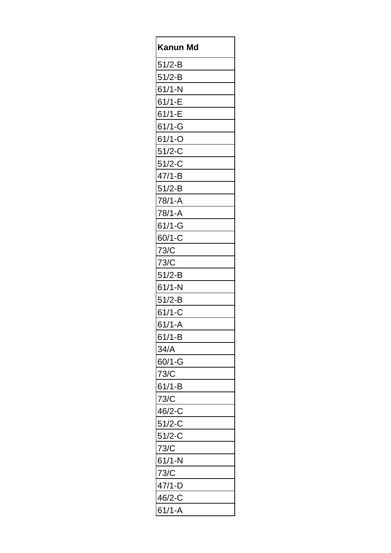| Kanun Md   |
|------------|
| $51/2 - B$ |
| $51/2-B$   |
| $61/1-N$   |
| $61/1-E$   |
| $61/1-E$   |
| $61/1 - G$ |
| $61/1 - O$ |
| $51/2-C$   |
| $51/2-C$   |
| $47/1 - B$ |
| $51/2-B$   |
| 78/1-A     |
| 78/1-A     |
| $61/1-G$   |
| $60/1 - C$ |
| 73/C       |
| 73/C       |
| $51/2 - B$ |
| $61/1-N$   |
| $51/2-B$   |
| $61/1-C$   |
| 61/1-A     |
| $61/1 - B$ |
| 34/A       |
| $60/1 - G$ |
| 73/C       |
| $61/1-B$   |
| 73/C       |
| 46/2-C     |
| $51/2-C$   |
| $51/2-C$   |
| 73/C       |
| $61/1-N$   |
| 73/C       |
| $47/1-D$   |
| 46/2-C     |
| $61/1 - A$ |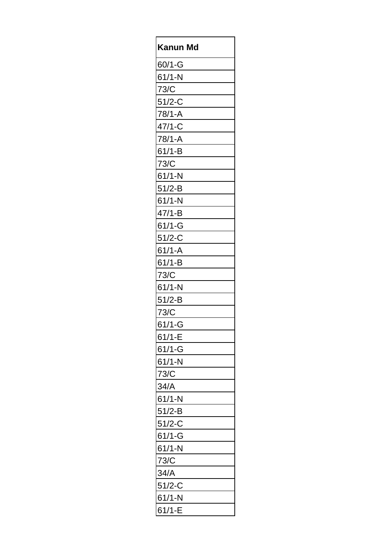| Kanun Md   |
|------------|
| $60/1 - G$ |
| $61/1-N$   |
| 73/C       |
| $51/2-C$   |
| $78/1 - A$ |
| $47/1-C$   |
| 78/1-A     |
| $61/1 - B$ |
| 73/C       |
| $61/1-N$   |
| $51/2-B$   |
| $61/1-N$   |
| $47/1 - B$ |
| $61/1 - G$ |
| $51/2-C$   |
| $61/1 - A$ |
| $61/1 - B$ |
| 73/C       |
| $61/1-N$   |
| $51/2-B$   |
| 73/C       |
| $61/1 - G$ |
| $61/1 - E$ |
| $61/1-G$   |
| $61/1-N$   |
| 73/C       |
| 34/A       |
| $61/1-N$   |
| $51/2-B$   |
| $51/2-C$   |
| $61/1-G$   |
| $61/1-N$   |
| 73/C       |
| 34/A       |
| $51/2-C$   |
| $61/1-N$   |
| $61/1-E$   |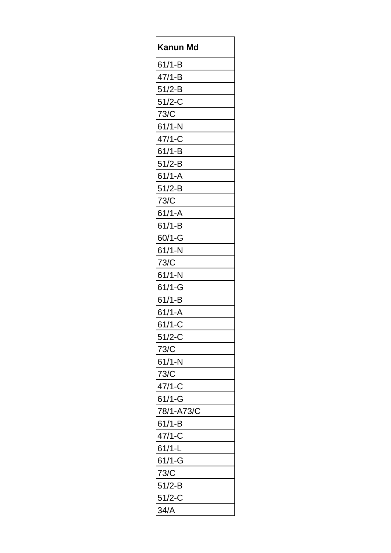| Kanun<br>Md |
|-------------|
| $61/1 - B$  |
| $47/1 - B$  |
| $51/2-B$    |
| $51/2-C$    |
| 73/C        |
| $61/1-N$    |
| $47/1-C$    |
| $61/1 - B$  |
| $51/2-B$    |
| $61/1 - A$  |
| $51/2-B$    |
| 73/C        |
| $61/1 - A$  |
| $61/1 - B$  |
| $60/1 - G$  |
| $61/1-N$    |
| 73/C        |
| $61/1-N$    |
| $61/1 - G$  |
| $61/1-B$    |
| $61/1 - A$  |
| $61/1-C$    |
| $51/2-C$    |
| 73/C        |
| $61/1-N$    |
| 73/C        |
| $47/1-C$    |
| $61/1 - G$  |
| 78/1-A73/C  |
| $61/1 - B$  |
| $47/1-C$    |
| $61/1-L$    |
| $61/1 - G$  |
| 73/C        |
| $51/2-B$    |
| $51/2-C$    |
| 34/A        |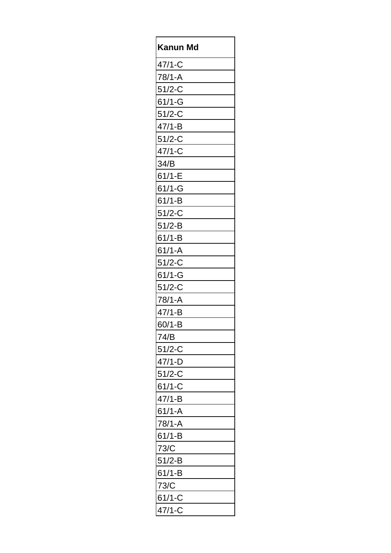| Kanun<br>Md |
|-------------|
| $47/1-C$    |
| 78/1-A      |
| $51/2-C$    |
| $61/1 - G$  |
| $51/2-C$    |
| $47/1 - B$  |
| $51/2-C$    |
| $47/1-C$    |
| 34/B        |
| $61/1-E$    |
| $61/1 - G$  |
| $61/1 - B$  |
| $51/2-C$    |
| $51/2-B$    |
| $61/1 - B$  |
| $61/1 - A$  |
| $51/2-C$    |
| $61/1 - G$  |
| $51/2-C$    |
| 78/1-A      |
| 47/1-B      |
| $60/1 - B$  |
| 74/B        |
| $51/2-C$    |
| $47/1-D$    |
| $51/2-C$    |
| $61/1-C$    |
| $47/1 - B$  |
| $61/1 - A$  |
| $78/1 - A$  |
| $61/1 - B$  |
| 73/C        |
| $51/2-B$    |
| $61/1-B$    |
| 73/C        |
| $61/1-C$    |
| 47/1-C      |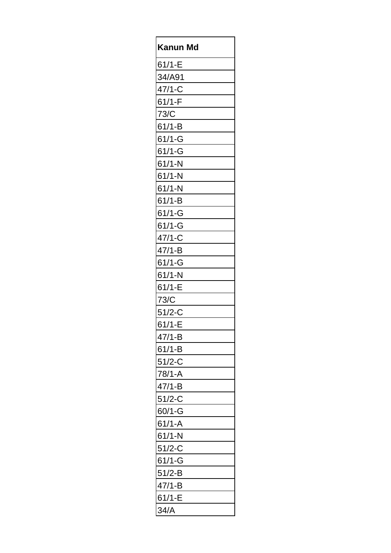| Kanun Md   |
|------------|
| $61/1-E$   |
| 34/A91     |
| $47/1-C$   |
| $61/1-F$   |
| 73/C       |
| $61/1 - B$ |
| $61/1-G$   |
| $61/1 - G$ |
| $61/1-N$   |
| $61/1-N$   |
| $61/1-N$   |
| $61/1-B$   |
| $61/1 - G$ |
| $61/1-G$   |
| $47/1-C$   |
| $47/1 - B$ |
| $61/1-G$   |
| $61/1-N$   |
| $61/1-E$   |
| 73/C       |
| $51/2-C$   |
| 61/1-E     |
| $47/1 - B$ |
| $61/1 - B$ |
| $51/2-C$   |
| $78/1 - A$ |
| $47/1 - B$ |
| $51/2-C$   |
| $60/1 - G$ |
| $61/1 - A$ |
| $61/1-N$   |
| $51/2-C$   |
| $61/1 - G$ |
| $51/2-B$   |
| $47/1 - B$ |
| $61/1-E$   |
| 34/A       |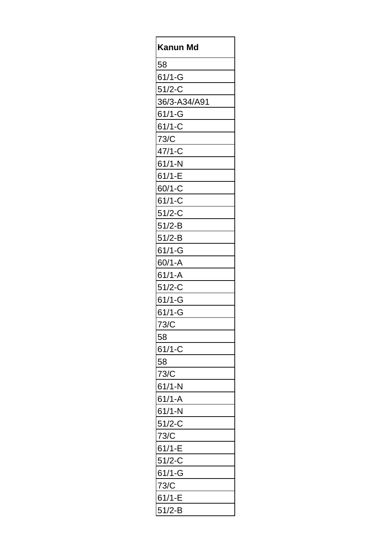| Kanun<br>Md  |
|--------------|
| 58           |
| $61/1 - G$   |
| $51/2-C$     |
| 36/3-A34/A91 |
| $61/1 - G$   |
| $61/1-C$     |
| 73/C         |
| $47/1-C$     |
| $61/1-N$     |
| $61/1-E$     |
| $60/1-C$     |
| $61/1-C$     |
| $51/2-C$     |
| $51/2-B$     |
| $51/2-B$     |
| $61/1-G$     |
| $60/1 - A$   |
| $61/1 - A$   |
| $51/2-C$     |
| $61/1 - G$   |
| $61/1 - G$   |
| 73/C         |
| 58           |
| $61/1-C$     |
| 58           |
| 73/C         |
| $61/1-N$     |
| $61/1 - A$   |
| $61/1-N$     |
| $51/2-C$     |
| 73/C         |
| $61/1 - E$   |
| $51/2-C$     |
| $61/1 - G$   |
| 73/C         |
| $61/1 - E$   |
| $51/2-B$     |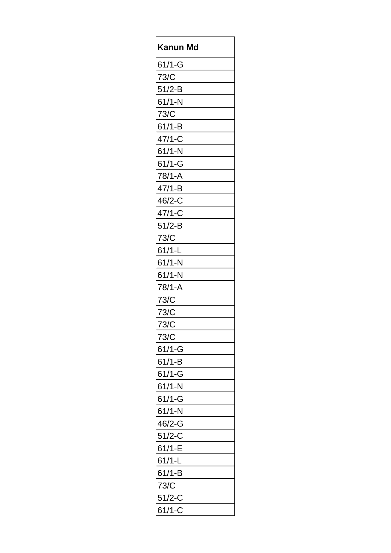| Kanun Md   |
|------------|
| $61/1 - G$ |
| 73/C       |
| $51/2-B$   |
| $61/1-N$   |
| 73/C       |
| $61/1 - B$ |
| $47/1-C$   |
| $61/1-N$   |
| $61/1-G$   |
| $78/1 - A$ |
| $47/1 - B$ |
| $46/2 - C$ |
| $47/1-C$   |
| $51/2-B$   |
| 73/C       |
| $61/1-L$   |
| $61/1-N$   |
| $61/1-N$   |
| $78/1 - A$ |
| 73/C       |
| 73/C       |
| 73/C       |
| 73/C       |
| $61/1 - G$ |
| $61/1 - B$ |
| $61/1 - G$ |
| $61/1-N$   |
| $61/1 - G$ |
| $61/1-N$   |
| 46/2-G     |
| $51/2-C$   |
| $61/1-E$   |
| $61/1-L$   |
| $61/1 - B$ |
| 73/C       |
| $51/2 - C$ |
| $61/1-C$   |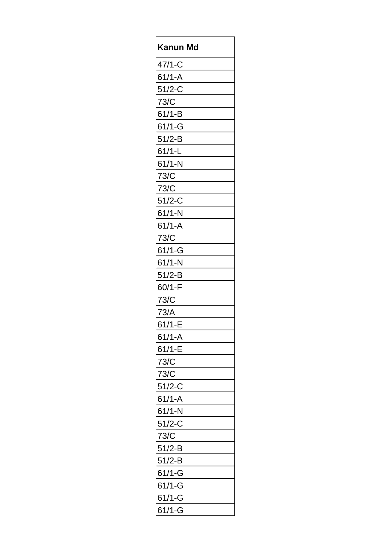| Kanun Md   |
|------------|
| $47/1-C$   |
| $61/1 - A$ |
| $51/2-C$   |
| 73/C       |
| $61/1 - B$ |
| $61/1 - G$ |
| $51/2-B$   |
| $61/1-L$   |
| $61/1-N$   |
| 73/C       |
| 73/C       |
| $51/2-C$   |
| $61/1-N$   |
| $61/1 - A$ |
| 73/C       |
| $61/1 - G$ |
| $61/1-N$   |
| $51/2 - B$ |
| $60/1-F$   |
| 73/C       |
| 73/A       |
| $61/1 - E$ |
| $61/1 - A$ |
| $61/1-E$   |
| 73/C       |
| 73/C       |
| $51/2-C$   |
| $61/1 - A$ |
| $61/1-N$   |
| $51/2-C$   |
| 73/C       |
| $51/2-B$   |
| $51/2-B$   |
| $61/1 - G$ |
| $61/1 - G$ |
| $61/1 - G$ |
| $61/1 - G$ |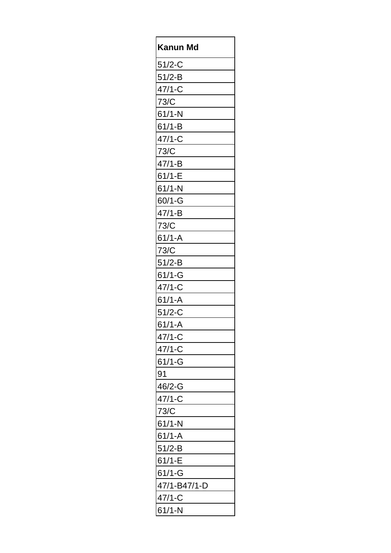| Kanun Md     |
|--------------|
| $51/2 - C$   |
| $51/2-B$     |
| $47/1-C$     |
| 73/C         |
| $61/1-N$     |
| $61/1 - B$   |
| $47/1-C$     |
| 73/C         |
| $47/1 - B$   |
| $61/1-E$     |
| $61/1-N$     |
| $60/1 - G$   |
| $47/1 - B$   |
| 73/C         |
| $61/1 - A$   |
| 73/C         |
| $51/2-B$     |
| $61/1-G$     |
| $47/1-C$     |
| $61/1 - A$   |
| $51/2-C$     |
| $61/1 - A$   |
| 47/1-C       |
| $47/1 - C$   |
| $61/1 - G$   |
| 91           |
| 46/2-G       |
| $47/1-C$     |
| 73/C         |
| $61/1-N$     |
| $61/1 - A$   |
| $51/2-B$     |
| $61/1-E$     |
| $61/1 - G$   |
| 47/1-B47/1-D |
| $47/1-C$     |
| $61/1-N$     |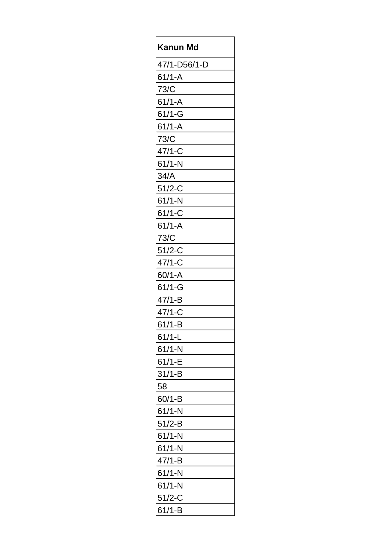| Kanun Md     |
|--------------|
| 47/1-D56/1-D |
| $61/1 - A$   |
| 73/C         |
| $61/1 - A$   |
| $61/1 - G$   |
| $61/1 - A$   |
| 73/C         |
| $47/1-C$     |
| $61/1-N$     |
| 34/A         |
| $51/2-C$     |
| $61/1-N$     |
| $61/1-C$     |
| $61/1 - A$   |
| 73/C         |
| $51/2-C$     |
| $47/1-C$     |
| $60/1 - A$   |
| $61/1 - G$   |
| $47/1 - B$   |
| $47/1-C$     |
| $61/1-B$     |
| $61/1-L$     |
| $61/1-N$     |
| $61/1-E$     |
| $31/1-B$     |
| 58           |
| $60/1 - B$   |
| $61/1-N$     |
| $51/2-B$     |
| $61/1-N$     |
| $61/1-N$     |
| $47/1 - B$   |
| $61/1-N$     |
| $61/1-N$     |
| $51/2-C$     |
| $61/1-B$     |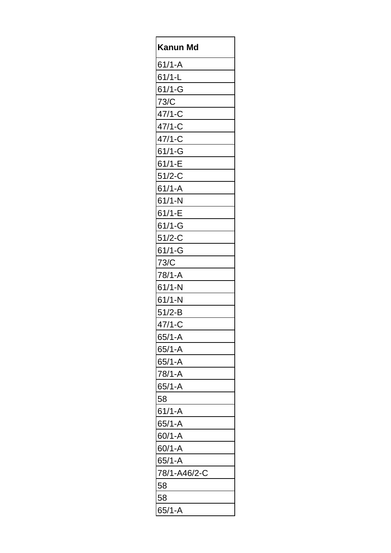| Kanun<br>Md  |
|--------------|
| $61/1 - A$   |
| $61/1-L$     |
| $61/1 - G$   |
| 73/C         |
| $47/1-C$     |
| $47/1-C$     |
| $47/1-C$     |
| $61/1 - G$   |
| $61/1-E$     |
| $51/2-C$     |
| $61/1 - A$   |
| $61/1-N$     |
| $61/1-E$     |
| $61/1 - G$   |
| $51/2-C$     |
| $61/1 - G$   |
| 73/C         |
| 78/1-A       |
| $61/1-N$     |
| $61/1-N$     |
| $51/2-B$     |
| $47/1-C$     |
| $65/1 - A$   |
| $65/1 - A$   |
| $65/1 - A$   |
| 78/1-A       |
| $65/1 - A$   |
| 58           |
| $61/1 - A$   |
| $65/1 - A$   |
| $60/1 - A$   |
| $60/1 - A$   |
| $65/1 - A$   |
| 78/1-A46/2-C |
| 58           |
| 58           |
| $65/1 - A$   |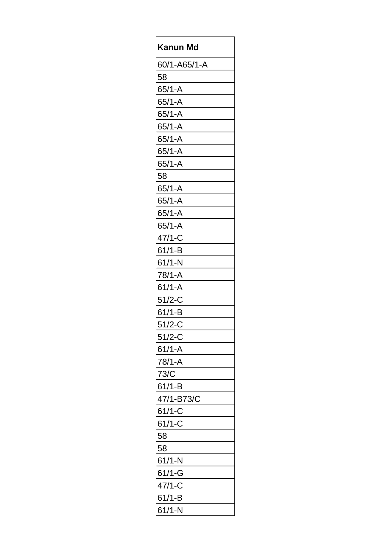| Kanun Md     |
|--------------|
| 60/1-A65/1-A |
| 58           |
| $65/1 - A$   |
| $65/1 - A$   |
| $65/1 - A$   |
| $65/1 - A$   |
| $65/1 - A$   |
| $65/1 - A$   |
| $65/1 - A$   |
| 58           |
| $65/1 - A$   |
| $65/1 - A$   |
| $65/1 - A$   |
| $65/1 - A$   |
| $47/1-C$     |
| $61/1 - B$   |
| $61/1-N$     |
| $78/1 - A$   |
| $61/1 - A$   |
| $51/2-C$     |
| $61/1-B$     |
| $51/2 - C$   |
| $51/2-C$     |
| $61/1 - A$   |
| $78/1 - A$   |
| 73/C         |
| $61/1 - B$   |
| 47/1-B73/C   |
| $61/1-C$     |
| $61/1-C$     |
| 58           |
| 58           |
| $61/1-N$     |
| $61/1 - G$   |
| $47/1-C$     |
| $61/1 - B$   |
| $61/1-N$     |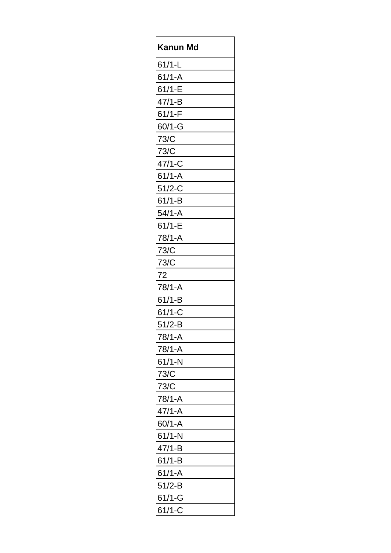| Kanun Md   |
|------------|
| $61/1-L$   |
| $61/1 - A$ |
| $61/1-E$   |
| $47/1 - B$ |
| $61/1-F$   |
| $60/1 - G$ |
| 73/C       |
| 73/C       |
| $47/1-C$   |
| $61/1 - A$ |
| $51/2-C$   |
| $61/1-B$   |
| $54/1 - A$ |
| $61/1-E$   |
| 78/1-A     |
| 73/C       |
| 73/C       |
| 72         |
| 78/1-A     |
| $61/1 - B$ |
| $61/1-C$   |
| $51/2 - B$ |
| 78/1-A     |
| 78/1-A     |
| $61/1-N$   |
| 73/C       |
| 73/C       |
| 78/1-A     |
| $47/1 - A$ |
| $60/1 - A$ |
| $61/1-N$   |
| $47/1 - B$ |
| $61/1-B$   |
| $61/1 - A$ |
| $51/2-B$   |
| $61/1 - G$ |
| $61/1-C$   |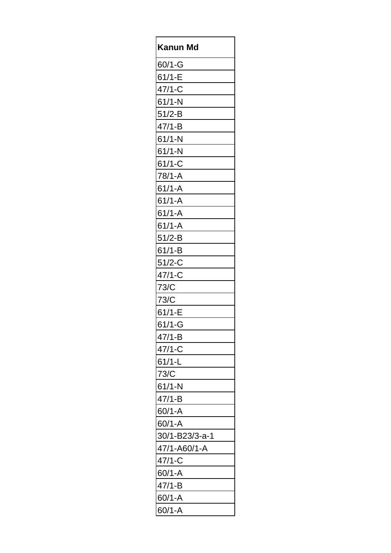| Kanun<br>Md    |
|----------------|
| $60/1 - G$     |
| $61/1-E$       |
| $47/1-C$       |
| $61/1-N$       |
| $51/2-B$       |
| $47/1 - B$     |
| $61/1-N$       |
| $61/1-N$       |
| $61/1 - C$     |
| 78/1-A         |
| $61/1 - A$     |
| $61/1 - A$     |
| $61/1 - A$     |
| $61/1 - A$     |
| $51/2-B$       |
| $61/1 - B$     |
| $51/2-C$       |
| $47/1-C$       |
| 73/C           |
| 73/C           |
| $61/1-E$       |
| $61/1 - G$     |
| $47/1 - B$     |
| $47/1-C$       |
| $61/1-L$       |
| 73/C           |
| $61/1-N$       |
| $47/1 - B$     |
| $60/1 - A$     |
| $60/1 - A$     |
| 30/1-B23/3-a-1 |
| 47/1-A60/1-A   |
| $47/1 - C$     |
| $60/1 - A$     |
| $47/1 - B$     |
| $60/1 - A$     |
| $60/1 - A$     |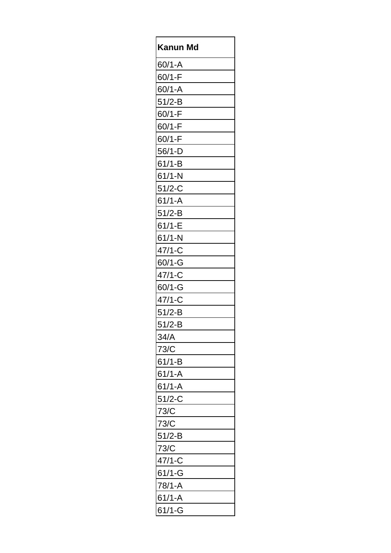| Kanun Md   |
|------------|
| $60/1 - A$ |
| $60/1-F$   |
| $60/1 - A$ |
| $51/2-B$   |
| $60/1-F$   |
| $60/1-F$   |
| $60/1-F$   |
| $56/1-D$   |
| $61/1 - B$ |
| $61/1-N$   |
| $51/2-C$   |
| $61/1 - A$ |
| $51/2-B$   |
| $61/1-E$   |
| $61/1-N$   |
| $47/1 - C$ |
| $60/1 - G$ |
| $47/1-C$   |
| $60/1 - G$ |
| $47/1-C$   |
| $51/2-B$   |
| $51/2-B$   |
| 34/A       |
| 73/C       |
| $61/1-B$   |
| $61/1 - A$ |
| $61/1 - A$ |
| $51/2-C$   |
| 73/C       |
| 73/C       |
| $51/2-B$   |
| 73/C       |
| $47/1-C$   |
| $61/1 - G$ |
| 78/1-A     |
| $61/1 - A$ |
| $61/1 - G$ |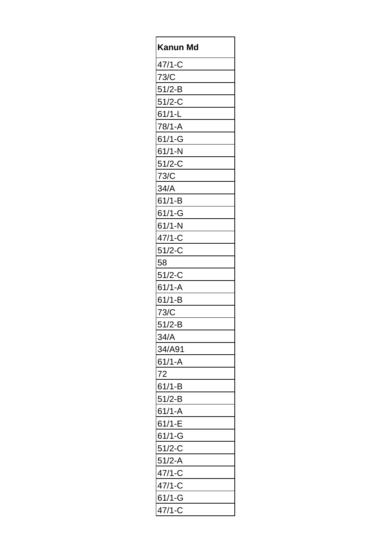| Kanun Md   |
|------------|
| $47/1-C$   |
| 73/C       |
| $51/2-B$   |
| $51/2-C$   |
| $61/1-L$   |
| 78/1-A     |
| $61/1 - G$ |
| $61/1 - N$ |
| $51/2-C$   |
| 73/C       |
| 34/A       |
| $61/1-B$   |
| $61/1 - G$ |
| $61/1-N$   |
| $47/1-C$   |
| $51/2-C$   |
| 58         |
| $51/2-C$   |
| $61/1 - A$ |
| $61/1-B$   |
| 73/C       |
| 51/2-B     |
| 34/A       |
| 34/A91     |
| $61/1 - A$ |
| 72         |
| $61/1-B$   |
| $51/2-B$   |
| $61/1 - A$ |
| $61/1 - E$ |
| $61/1 - G$ |
| $51/2-C$   |
| $51/2-A$   |
| $47/1-C$   |
| $47/1-C$   |
| $61/1 - G$ |
| 47/1-C     |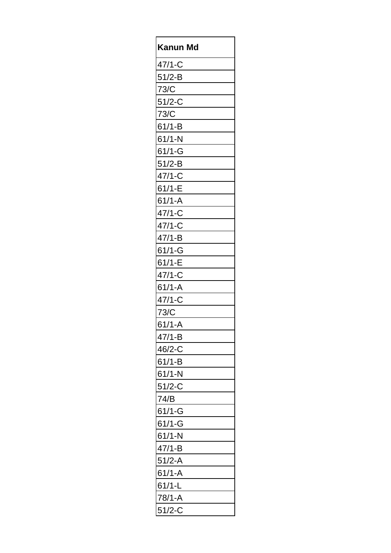| Kanun<br>Md |
|-------------|
| $47/1 - C$  |
| $51/2-B$    |
| 73/C        |
| $51/2-C$    |
| 73/C        |
| $61/1 - B$  |
| $61/1-N$    |
| $61/1 - G$  |
| $51/2 - B$  |
| $47/1-C$    |
| $61/1-E$    |
| $61/1 - A$  |
| $47/1-C$    |
| $47/1-C$    |
| $47/1 - B$  |
| $61/1-G$    |
| $61/1-E$    |
| $47/1-C$    |
| $61/1 - A$  |
| $47/1-C$    |
| 73/C        |
| $61/1 - A$  |
| $47/1 - B$  |
| 46/2-C      |
| $61/1-B$    |
| $61/1-N$    |
| $51/2-C$    |
| 74/B        |
| $61/1 - G$  |
| $61/1-G$    |
| $61/1-N$    |
| $47/1 - B$  |
| $51/2 - A$  |
| $61/1 - A$  |
| $61/1-L$    |
| 78/1-A      |
| $51/2-C$    |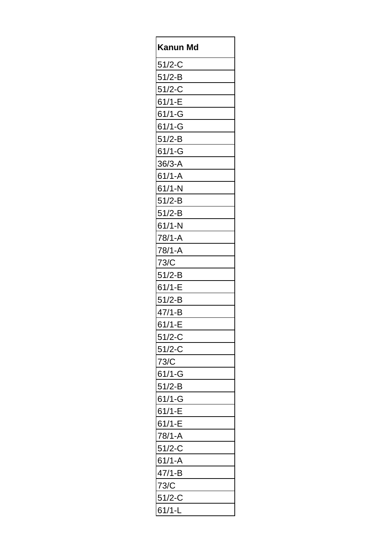| Kanun Md   |
|------------|
| $51/2-C$   |
| $51/2-B$   |
| $51/2-C$   |
| $61/1-E$   |
| $61/1 - G$ |
| $61/1 - G$ |
| $51/2-B$   |
| $61/1 - G$ |
| $36/3-A$   |
| $61/1 - A$ |
| $61/1-N$   |
| $51/2-B$   |
| $51/2-B$   |
| $61/1-N$   |
| 78/1-A     |
| 78/1-A     |
| 73/C       |
| $51/2-B$   |
| $61/1-E$   |
| $51/2-B$   |
| $47/1-B$   |
| $61/1 - E$ |
| $51/2-C$   |
| $51/2-C$   |
| 73/C       |
| $61/1 - G$ |
| $51/2-B$   |
| $61/1 - G$ |
| 61/1-E     |
| $61/1-E$   |
| $78/1 - A$ |
| $51/2-C$   |
| $61/1 - A$ |
| $47/1 - B$ |
| 73/C       |
| $51/2-C$   |
| 61/1-L     |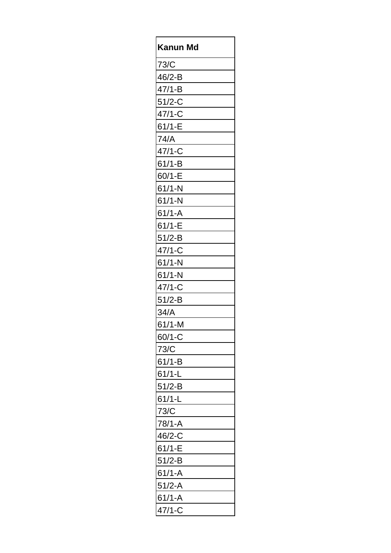| Kanun Md   |
|------------|
| 73/C       |
| $46/2-B$   |
| $47/1 - B$ |
| $51/2-C$   |
| $47/1 - C$ |
| $61/1 - E$ |
| 74/A       |
| $47/1-C$   |
| $61/1 - B$ |
| $60/1 - E$ |
| $61/1-N$   |
| $61/1-N$   |
| $61/1 - A$ |
| $61/1-E$   |
| $51/2-B$   |
| $47/1 - C$ |
| $61/1-N$   |
| $61/1-N$   |
| $47/1 - C$ |
| $51/2-B$   |
| 34/A       |
| 61/1-M     |
| $60/1-C$   |
| 73/C       |
| $61/1 - B$ |
| $61/1-L$   |
| $51/2-B$   |
| $61/1-L$   |
| 73/C       |
| 78/1-A     |
| $46/2-C$   |
| $61/1-E$   |
| $51/2-B$   |
| $61/1 - A$ |
| $51/2-A$   |
| $61/1 - A$ |
| 47/1-C     |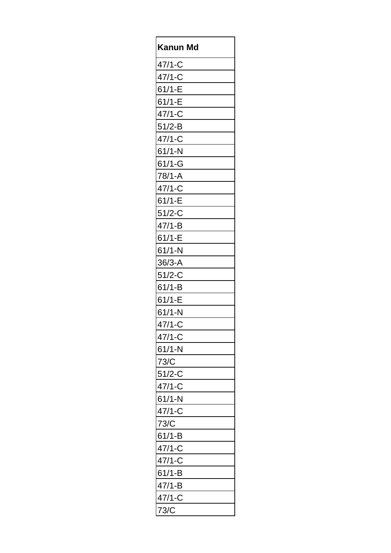| Kanun Md   |
|------------|
| $47/1 - C$ |
| $47/1-C$   |
| $61/1-E$   |
| $61/1-E$   |
| $47/1-C$   |
| $51/2-B$   |
| $47/1-C$   |
| $61/1-N$   |
| $61/1 - G$ |
| $78/1 - A$ |
| $47/1 - C$ |
| $61/1-E$   |
| $51/2-C$   |
| $47/1 - B$ |
| $61/1-E$   |
| $61/1-N$   |
| $36/3 - A$ |
| $51/2 - C$ |
| $61/1 - B$ |
| $61/1-E$   |
| $61/1-N$   |
| 47/1-C     |
| $47/1 - C$ |
| $61/1-N$   |
| 73/C       |
| $51/2-C$   |
| $47/1-C$   |
| $61/1-N$   |
| $47/1-C$   |
| 73/C       |
| $61/1 - B$ |
| $47/1-C$   |
| $47/1-C$   |
| $61/1-B$   |
| $47/1 - B$ |
| $47/1-C$   |
| 73/C       |